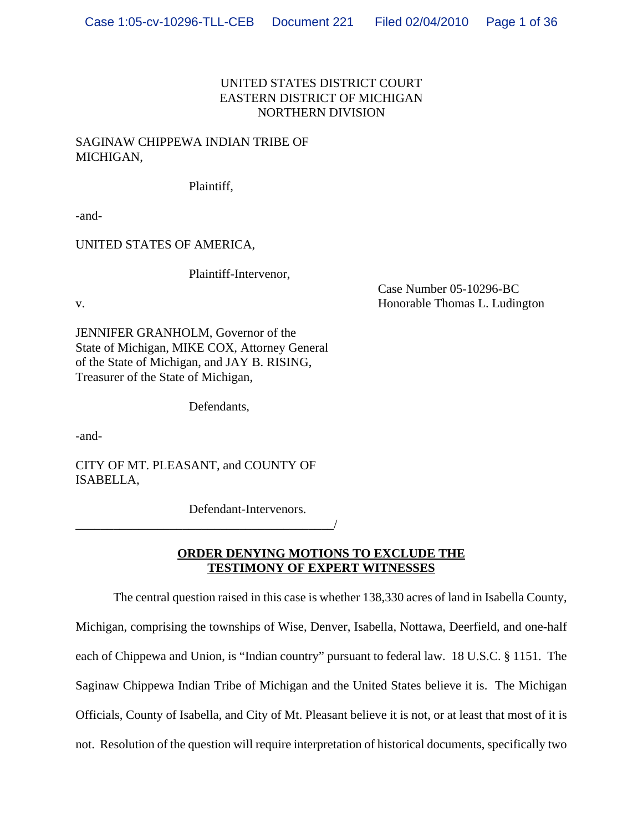# UNITED STATES DISTRICT COURT EASTERN DISTRICT OF MICHIGAN NORTHERN DIVISION

# SAGINAW CHIPPEWA INDIAN TRIBE OF MICHIGAN,

Plaintiff,

-and-

UNITED STATES OF AMERICA,

Plaintiff-Intervenor,

Case Number 05-10296-BC v. **Example 2018** Separate Thomas L. Ludington **Honorable Thomas L. Ludington** 

JENNIFER GRANHOLM, Governor of the State of Michigan, MIKE COX, Attorney General of the State of Michigan, and JAY B. RISING, Treasurer of the State of Michigan,

Defendants,

-and-

CITY OF MT. PLEASANT, and COUNTY OF ISABELLA,

\_\_\_\_\_\_\_\_\_\_\_\_\_\_\_\_\_\_\_\_\_\_\_\_\_\_\_\_\_\_\_\_\_\_\_\_\_\_\_\_\_/

Defendant-Intervenors.

**ORDER DENYING MOTIONS TO EXCLUDE THE TESTIMONY OF EXPERT WITNESSES**

The central question raised in this case is whether 138,330 acres of land in Isabella County, Michigan, comprising the townships of Wise, Denver, Isabella, Nottawa, Deerfield, and one-half each of Chippewa and Union, is "Indian country" pursuant to federal law. 18 U.S.C. § 1151. The Saginaw Chippewa Indian Tribe of Michigan and the United States believe it is. The Michigan Officials, County of Isabella, and City of Mt. Pleasant believe it is not, or at least that most of it is not. Resolution of the question will require interpretation of historical documents, specifically two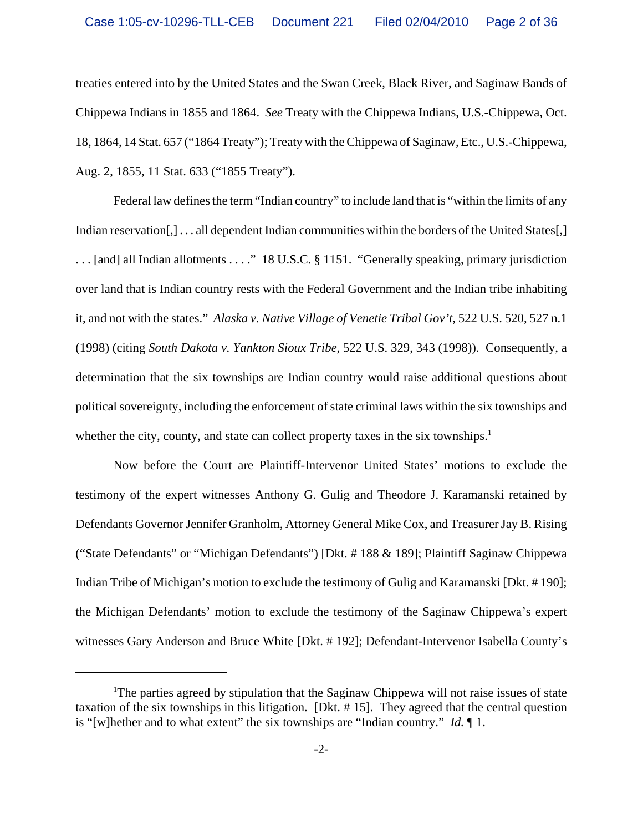treaties entered into by the United States and the Swan Creek, Black River, and Saginaw Bands of Chippewa Indians in 1855 and 1864. *See* Treaty with the Chippewa Indians, U.S.-Chippewa, Oct. 18, 1864, 14 Stat. 657 ("1864 Treaty"); Treaty with the Chippewa of Saginaw, Etc., U.S.-Chippewa, Aug. 2, 1855, 11 Stat. 633 ("1855 Treaty").

Federal law defines the term "Indian country" to include land that is "within the limits of any Indian reservation[,] ... all dependent Indian communities within the borders of the United States[,] . . . [and] all Indian allotments . . . ." 18 U.S.C. § 1151. "Generally speaking, primary jurisdiction over land that is Indian country rests with the Federal Government and the Indian tribe inhabiting it, and not with the states." *Alaska v. Native Village of Venetie Tribal Gov't*, 522 U.S. 520, 527 n.1 (1998) (citing *South Dakota v. Yankton Sioux Tribe*, 522 U.S. 329, 343 (1998)). Consequently, a determination that the six townships are Indian country would raise additional questions about political sovereignty, including the enforcement of state criminal laws within the six townships and whether the city, county, and state can collect property taxes in the six townships. $<sup>1</sup>$ </sup>

Now before the Court are Plaintiff-Intervenor United States' motions to exclude the testimony of the expert witnesses Anthony G. Gulig and Theodore J. Karamanski retained by Defendants Governor Jennifer Granholm, Attorney General Mike Cox, and Treasurer Jay B. Rising ("State Defendants" or "Michigan Defendants") [Dkt. # 188 & 189]; Plaintiff Saginaw Chippewa Indian Tribe of Michigan's motion to exclude the testimony of Gulig and Karamanski [Dkt. # 190]; the Michigan Defendants' motion to exclude the testimony of the Saginaw Chippewa's expert witnesses Gary Anderson and Bruce White [Dkt. # 192]; Defendant-Intervenor Isabella County's

<sup>&</sup>lt;sup>1</sup>The parties agreed by stipulation that the Saginaw Chippewa will not raise issues of state taxation of the six townships in this litigation. [Dkt. # 15]. They agreed that the central question is "[w]hether and to what extent" the six townships are "Indian country." *Id.* ¶ 1.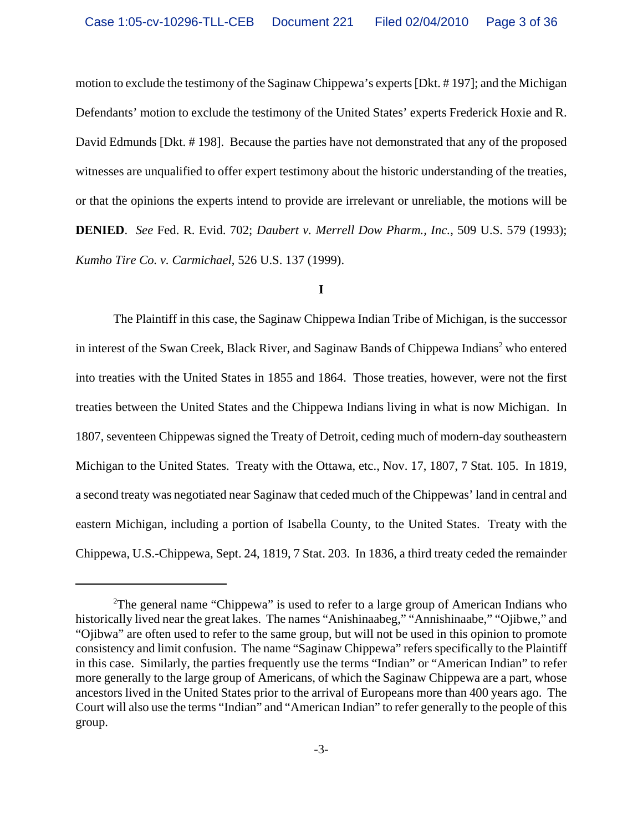motion to exclude the testimony of the Saginaw Chippewa's experts [Dkt. # 197]; and the Michigan Defendants' motion to exclude the testimony of the United States' experts Frederick Hoxie and R. David Edmunds [Dkt. # 198]. Because the parties have not demonstrated that any of the proposed witnesses are unqualified to offer expert testimony about the historic understanding of the treaties, or that the opinions the experts intend to provide are irrelevant or unreliable, the motions will be **DENIED**. *See* Fed. R. Evid. 702; *Daubert v. Merrell Dow Pharm., Inc.*, 509 U.S. 579 (1993); *Kumho Tire Co. v. Carmichael*, 526 U.S. 137 (1999).

### **I**

The Plaintiff in this case, the Saginaw Chippewa Indian Tribe of Michigan, is the successor in interest of the Swan Creek, Black River, and Saginaw Bands of Chippewa Indians<sup>2</sup> who entered into treaties with the United States in 1855 and 1864. Those treaties, however, were not the first treaties between the United States and the Chippewa Indians living in what is now Michigan. In 1807, seventeen Chippewas signed the Treaty of Detroit, ceding much of modern-day southeastern Michigan to the United States. Treaty with the Ottawa, etc., Nov. 17, 1807, 7 Stat. 105. In 1819, a second treaty was negotiated near Saginaw that ceded much of the Chippewas' land in central and eastern Michigan, including a portion of Isabella County, to the United States. Treaty with the Chippewa, U.S.-Chippewa, Sept. 24, 1819, 7 Stat. 203. In 1836, a third treaty ceded the remainder

<sup>&</sup>lt;sup>2</sup>The general name "Chippewa" is used to refer to a large group of American Indians who historically lived near the great lakes. The names "Anishinaabeg," "Annishinaabe," "Ojibwe," and "Ojibwa" are often used to refer to the same group, but will not be used in this opinion to promote consistency and limit confusion. The name "Saginaw Chippewa" refers specifically to the Plaintiff in this case. Similarly, the parties frequently use the terms "Indian" or "American Indian" to refer more generally to the large group of Americans, of which the Saginaw Chippewa are a part, whose ancestors lived in the United States prior to the arrival of Europeans more than 400 years ago. The Court will also use the terms "Indian" and "American Indian" to refer generally to the people of this group.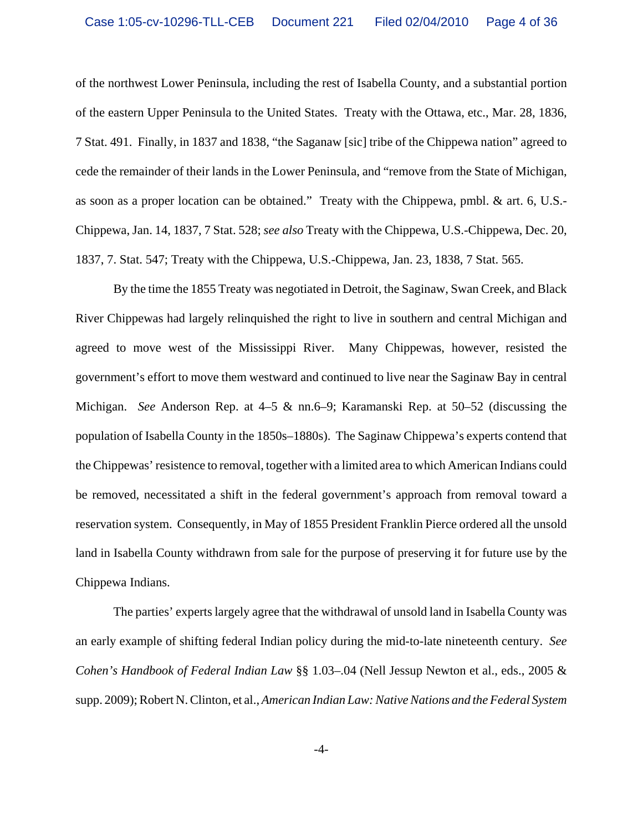of the northwest Lower Peninsula, including the rest of Isabella County, and a substantial portion of the eastern Upper Peninsula to the United States. Treaty with the Ottawa, etc., Mar. 28, 1836, 7 Stat. 491. Finally, in 1837 and 1838, "the Saganaw [sic] tribe of the Chippewa nation" agreed to cede the remainder of their lands in the Lower Peninsula, and "remove from the State of Michigan, as soon as a proper location can be obtained." Treaty with the Chippewa, pmbl. & art. 6, U.S.- Chippewa, Jan. 14, 1837, 7 Stat. 528; *see also* Treaty with the Chippewa, U.S.-Chippewa, Dec. 20, 1837, 7. Stat. 547; Treaty with the Chippewa, U.S.-Chippewa, Jan. 23, 1838, 7 Stat. 565.

By the time the 1855 Treaty was negotiated in Detroit, the Saginaw, Swan Creek, and Black River Chippewas had largely relinquished the right to live in southern and central Michigan and agreed to move west of the Mississippi River. Many Chippewas, however, resisted the government's effort to move them westward and continued to live near the Saginaw Bay in central Michigan. *See* Anderson Rep. at 4–5 & nn.6–9; Karamanski Rep. at 50–52 (discussing the population of Isabella County in the 1850s–1880s). The Saginaw Chippewa's experts contend that the Chippewas' resistence to removal, together with a limited area to which American Indians could be removed, necessitated a shift in the federal government's approach from removal toward a reservation system. Consequently, in May of 1855 President Franklin Pierce ordered all the unsold land in Isabella County withdrawn from sale for the purpose of preserving it for future use by the Chippewa Indians.

The parties' experts largely agree that the withdrawal of unsold land in Isabella County was an early example of shifting federal Indian policy during the mid-to-late nineteenth century. *See Cohen's Handbook of Federal Indian Law* §§ 1.03–.04 (Nell Jessup Newton et al., eds., 2005 & supp. 2009); Robert N. Clinton, et al., *American Indian Law: Native Nations and the Federal System*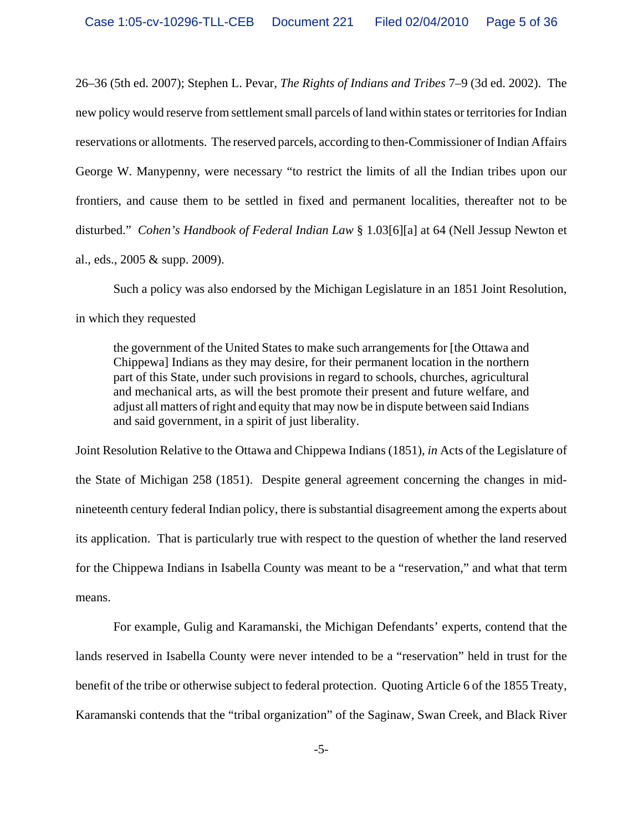26–36 (5th ed. 2007); Stephen L. Pevar, *The Rights of Indians and Tribes* 7–9 (3d ed. 2002). The new policy would reserve from settlement small parcels of land within states or territories for Indian reservations or allotments. The reserved parcels, according to then-Commissioner of Indian Affairs George W. Manypenny, were necessary "to restrict the limits of all the Indian tribes upon our frontiers, and cause them to be settled in fixed and permanent localities, thereafter not to be disturbed." *Cohen's Handbook of Federal Indian Law* § 1.03[6][a] at 64 (Nell Jessup Newton et al., eds., 2005 & supp. 2009).

Such a policy was also endorsed by the Michigan Legislature in an 1851 Joint Resolution, in which they requested

the government of the United States to make such arrangements for [the Ottawa and Chippewa] Indians as they may desire, for their permanent location in the northern part of this State, under such provisions in regard to schools, churches, agricultural and mechanical arts, as will the best promote their present and future welfare, and adjust all matters of right and equity that may now be in dispute between said Indians and said government, in a spirit of just liberality.

Joint Resolution Relative to the Ottawa and Chippewa Indians (1851), *in* Acts of the Legislature of the State of Michigan 258 (1851). Despite general agreement concerning the changes in midnineteenth century federal Indian policy, there is substantial disagreement among the experts about its application. That is particularly true with respect to the question of whether the land reserved for the Chippewa Indians in Isabella County was meant to be a "reservation," and what that term means.

For example, Gulig and Karamanski, the Michigan Defendants' experts, contend that the lands reserved in Isabella County were never intended to be a "reservation" held in trust for the benefit of the tribe or otherwise subject to federal protection. Quoting Article 6 of the 1855 Treaty, Karamanski contends that the "tribal organization" of the Saginaw, Swan Creek, and Black River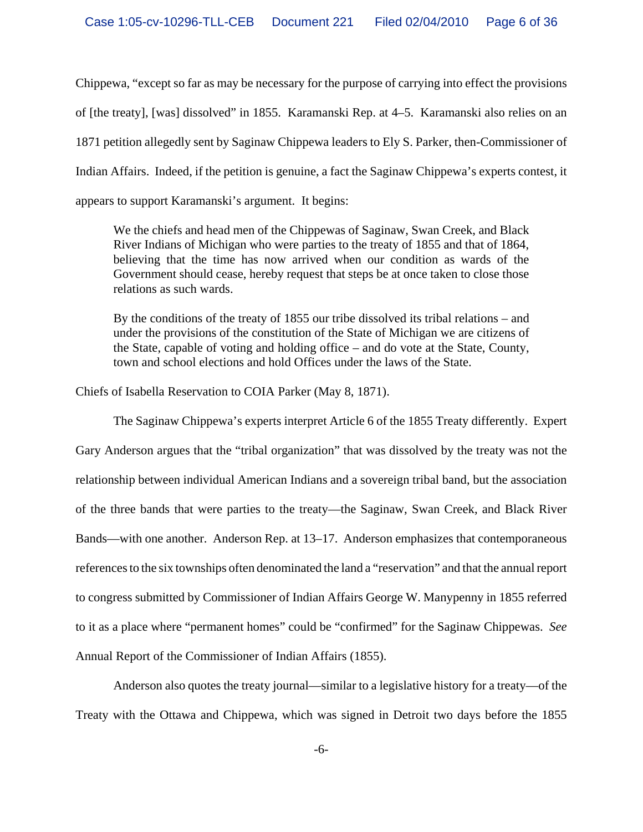Chippewa, "except so far as may be necessary for the purpose of carrying into effect the provisions of [the treaty], [was] dissolved" in 1855. Karamanski Rep. at 4–5. Karamanski also relies on an 1871 petition allegedly sent by Saginaw Chippewa leaders to Ely S. Parker, then-Commissioner of Indian Affairs. Indeed, if the petition is genuine, a fact the Saginaw Chippewa's experts contest, it appears to support Karamanski's argument. It begins:

We the chiefs and head men of the Chippewas of Saginaw, Swan Creek, and Black River Indians of Michigan who were parties to the treaty of 1855 and that of 1864, believing that the time has now arrived when our condition as wards of the Government should cease, hereby request that steps be at once taken to close those relations as such wards.

By the conditions of the treaty of 1855 our tribe dissolved its tribal relations – and under the provisions of the constitution of the State of Michigan we are citizens of the State, capable of voting and holding office – and do vote at the State, County, town and school elections and hold Offices under the laws of the State.

Chiefs of Isabella Reservation to COIA Parker (May 8, 1871).

The Saginaw Chippewa's experts interpret Article 6 of the 1855 Treaty differently. Expert Gary Anderson argues that the "tribal organization" that was dissolved by the treaty was not the relationship between individual American Indians and a sovereign tribal band, but the association of the three bands that were parties to the treaty—the Saginaw, Swan Creek, and Black River Bands—with one another. Anderson Rep. at 13–17. Anderson emphasizes that contemporaneous references to the six townships often denominated the land a "reservation" and that the annual report to congress submitted by Commissioner of Indian Affairs George W. Manypenny in 1855 referred to it as a place where "permanent homes" could be "confirmed" for the Saginaw Chippewas. *See* Annual Report of the Commissioner of Indian Affairs (1855).

Anderson also quotes the treaty journal—similar to a legislative history for a treaty—of the Treaty with the Ottawa and Chippewa, which was signed in Detroit two days before the 1855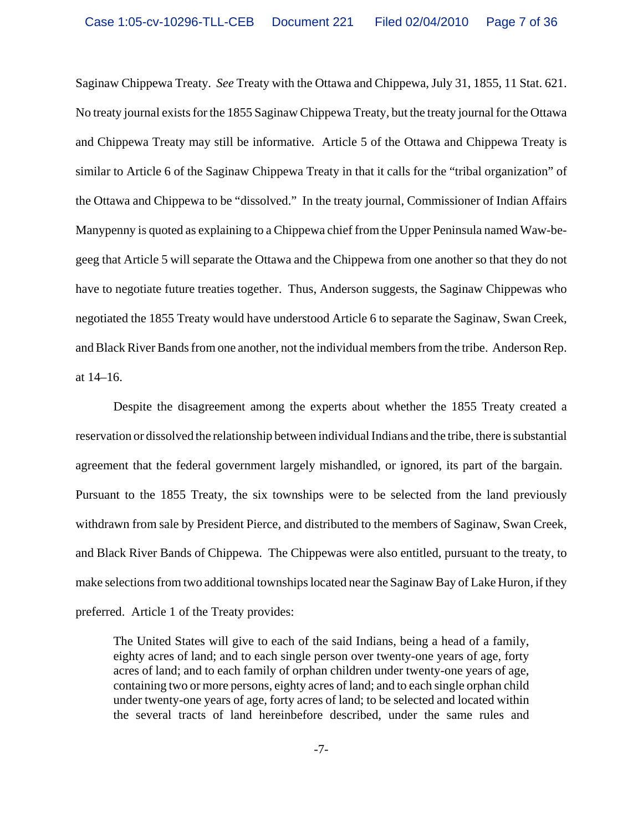Saginaw Chippewa Treaty. *See* Treaty with the Ottawa and Chippewa, July 31, 1855, 11 Stat. 621. No treaty journal exists for the 1855 Saginaw Chippewa Treaty, but the treaty journal for the Ottawa and Chippewa Treaty may still be informative. Article 5 of the Ottawa and Chippewa Treaty is similar to Article 6 of the Saginaw Chippewa Treaty in that it calls for the "tribal organization" of the Ottawa and Chippewa to be "dissolved." In the treaty journal, Commissioner of Indian Affairs Manypenny is quoted as explaining to a Chippewa chief from the Upper Peninsula named Waw-begeeg that Article 5 will separate the Ottawa and the Chippewa from one another so that they do not have to negotiate future treaties together. Thus, Anderson suggests, the Saginaw Chippewas who negotiated the 1855 Treaty would have understood Article 6 to separate the Saginaw, Swan Creek, and Black River Bands from one another, not the individual members from the tribe. Anderson Rep. at 14–16.

Despite the disagreement among the experts about whether the 1855 Treaty created a reservation or dissolved the relationship between individual Indians and the tribe, there is substantial agreement that the federal government largely mishandled, or ignored, its part of the bargain. Pursuant to the 1855 Treaty, the six townships were to be selected from the land previously withdrawn from sale by President Pierce, and distributed to the members of Saginaw, Swan Creek, and Black River Bands of Chippewa. The Chippewas were also entitled, pursuant to the treaty, to make selections from two additional townships located near the Saginaw Bay of Lake Huron, if they preferred. Article 1 of the Treaty provides:

The United States will give to each of the said Indians, being a head of a family, eighty acres of land; and to each single person over twenty-one years of age, forty acres of land; and to each family of orphan children under twenty-one years of age, containing two or more persons, eighty acres of land; and to each single orphan child under twenty-one years of age, forty acres of land; to be selected and located within the several tracts of land hereinbefore described, under the same rules and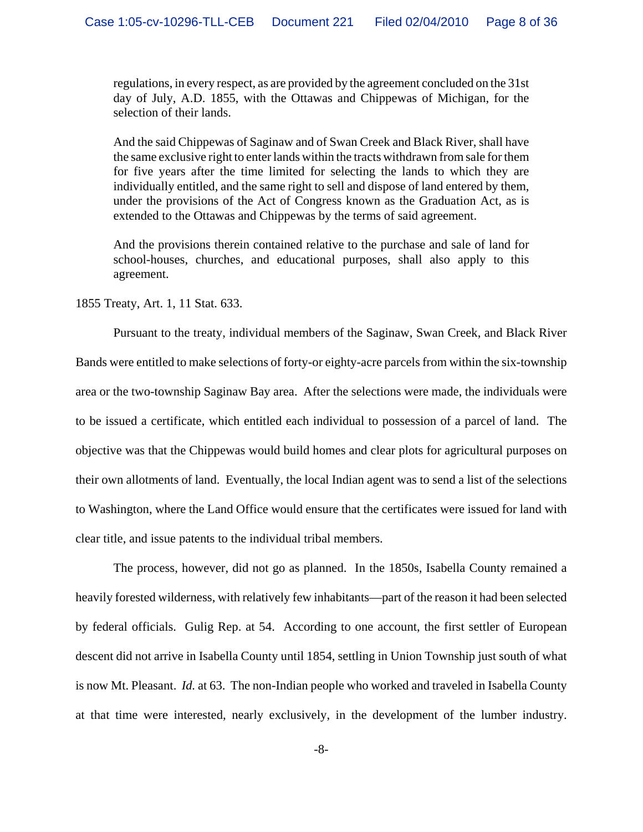regulations, in every respect, as are provided by the agreement concluded on the 31st day of July, A.D. 1855, with the Ottawas and Chippewas of Michigan, for the selection of their lands.

And the said Chippewas of Saginaw and of Swan Creek and Black River, shall have the same exclusive right to enter lands within the tracts withdrawn from sale for them for five years after the time limited for selecting the lands to which they are individually entitled, and the same right to sell and dispose of land entered by them, under the provisions of the Act of Congress known as the Graduation Act, as is extended to the Ottawas and Chippewas by the terms of said agreement.

And the provisions therein contained relative to the purchase and sale of land for school-houses, churches, and educational purposes, shall also apply to this agreement.

# 1855 Treaty, Art. 1, 11 Stat. 633.

Pursuant to the treaty, individual members of the Saginaw, Swan Creek, and Black River Bands were entitled to make selections of forty-or eighty-acre parcels from within the six-township area or the two-township Saginaw Bay area. After the selections were made, the individuals were to be issued a certificate, which entitled each individual to possession of a parcel of land. The objective was that the Chippewas would build homes and clear plots for agricultural purposes on their own allotments of land. Eventually, the local Indian agent was to send a list of the selections to Washington, where the Land Office would ensure that the certificates were issued for land with clear title, and issue patents to the individual tribal members.

The process, however, did not go as planned. In the 1850s, Isabella County remained a heavily forested wilderness, with relatively few inhabitants—part of the reason it had been selected by federal officials. Gulig Rep. at 54. According to one account, the first settler of European descent did not arrive in Isabella County until 1854, settling in Union Township just south of what is now Mt. Pleasant. *Id.* at 63. The non-Indian people who worked and traveled in Isabella County at that time were interested, nearly exclusively, in the development of the lumber industry.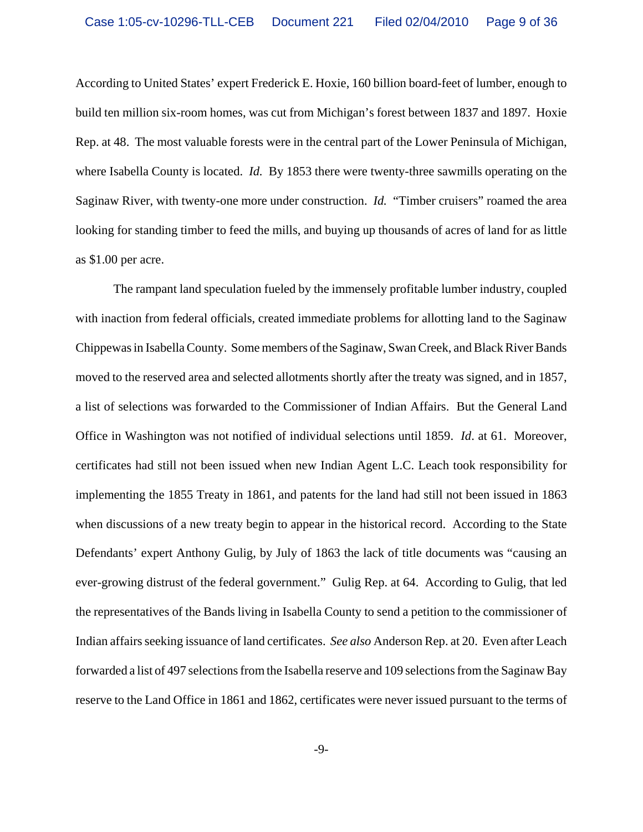According to United States' expert Frederick E. Hoxie, 160 billion board-feet of lumber, enough to build ten million six-room homes, was cut from Michigan's forest between 1837 and 1897. Hoxie Rep. at 48. The most valuable forests were in the central part of the Lower Peninsula of Michigan, where Isabella County is located. *Id.* By 1853 there were twenty-three sawmills operating on the Saginaw River, with twenty-one more under construction. *Id.* "Timber cruisers" roamed the area looking for standing timber to feed the mills, and buying up thousands of acres of land for as little as \$1.00 per acre.

The rampant land speculation fueled by the immensely profitable lumber industry, coupled with inaction from federal officials, created immediate problems for allotting land to the Saginaw Chippewas in Isabella County. Some members of the Saginaw, Swan Creek, and Black River Bands moved to the reserved area and selected allotments shortly after the treaty was signed, and in 1857, a list of selections was forwarded to the Commissioner of Indian Affairs. But the General Land Office in Washington was not notified of individual selections until 1859. *Id*. at 61. Moreover, certificates had still not been issued when new Indian Agent L.C. Leach took responsibility for implementing the 1855 Treaty in 1861, and patents for the land had still not been issued in 1863 when discussions of a new treaty begin to appear in the historical record. According to the State Defendants' expert Anthony Gulig, by July of 1863 the lack of title documents was "causing an ever-growing distrust of the federal government." Gulig Rep. at 64. According to Gulig, that led the representatives of the Bands living in Isabella County to send a petition to the commissioner of Indian affairs seeking issuance of land certificates. *See also* Anderson Rep. at 20. Even after Leach forwarded a list of 497 selections from the Isabella reserve and 109 selections from the Saginaw Bay reserve to the Land Office in 1861 and 1862, certificates were never issued pursuant to the terms of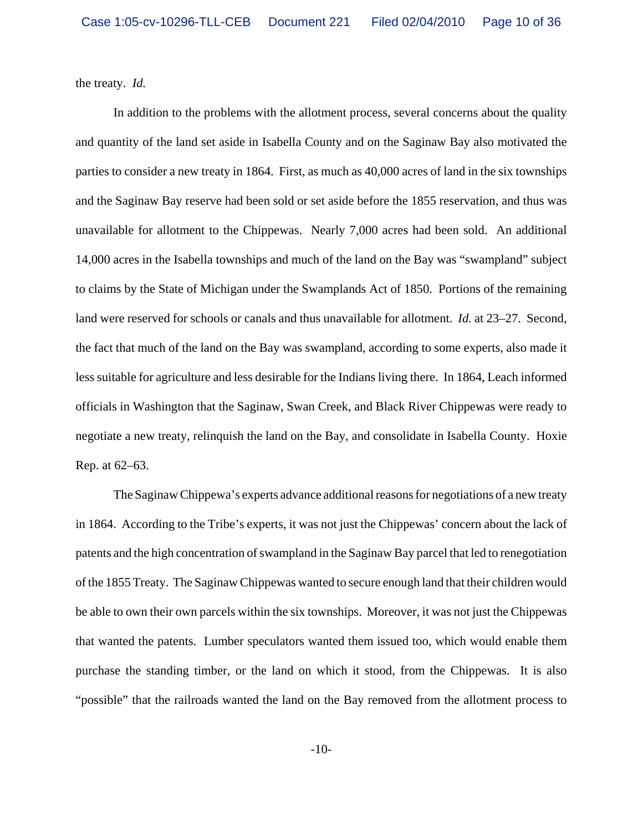the treaty. *Id.*

In addition to the problems with the allotment process, several concerns about the quality and quantity of the land set aside in Isabella County and on the Saginaw Bay also motivated the parties to consider a new treaty in 1864. First, as much as 40,000 acres of land in the six townships and the Saginaw Bay reserve had been sold or set aside before the 1855 reservation, and thus was unavailable for allotment to the Chippewas. Nearly 7,000 acres had been sold. An additional 14,000 acres in the Isabella townships and much of the land on the Bay was "swampland" subject to claims by the State of Michigan under the Swamplands Act of 1850. Portions of the remaining land were reserved for schools or canals and thus unavailable for allotment. *Id.* at 23–27. Second, the fact that much of the land on the Bay was swampland, according to some experts, also made it less suitable for agriculture and less desirable for the Indians living there. In 1864, Leach informed officials in Washington that the Saginaw, Swan Creek, and Black River Chippewas were ready to negotiate a new treaty, relinquish the land on the Bay, and consolidate in Isabella County. Hoxie Rep. at 62–63.

The Saginaw Chippewa's experts advance additional reasons for negotiations of a new treaty in 1864. According to the Tribe's experts, it was not just the Chippewas' concern about the lack of patents and the high concentration of swampland in the Saginaw Bay parcel that led to renegotiation of the 1855 Treaty. The Saginaw Chippewas wanted to secure enough land that their children would be able to own their own parcels within the six townships. Moreover, it was not just the Chippewas that wanted the patents. Lumber speculators wanted them issued too, which would enable them purchase the standing timber, or the land on which it stood, from the Chippewas. It is also "possible" that the railroads wanted the land on the Bay removed from the allotment process to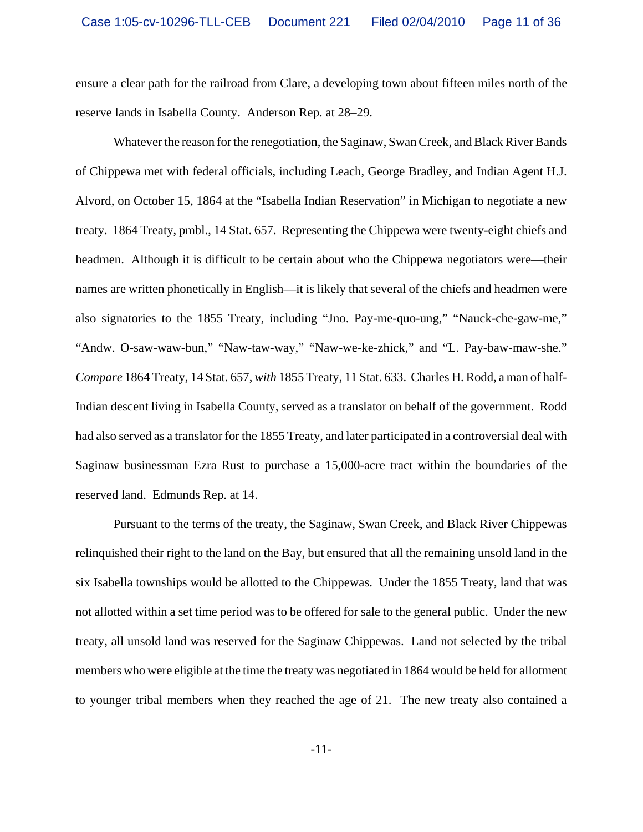ensure a clear path for the railroad from Clare, a developing town about fifteen miles north of the reserve lands in Isabella County. Anderson Rep. at 28–29.

Whatever the reason for the renegotiation, the Saginaw, Swan Creek, and Black River Bands of Chippewa met with federal officials, including Leach, George Bradley, and Indian Agent H.J. Alvord, on October 15, 1864 at the "Isabella Indian Reservation" in Michigan to negotiate a new treaty. 1864 Treaty, pmbl., 14 Stat. 657. Representing the Chippewa were twenty-eight chiefs and headmen. Although it is difficult to be certain about who the Chippewa negotiators were—their names are written phonetically in English—it is likely that several of the chiefs and headmen were also signatories to the 1855 Treaty, including "Jno. Pay-me-quo-ung," "Nauck-che-gaw-me," "Andw. O-saw-waw-bun," "Naw-taw-way," "Naw-we-ke-zhick," and "L. Pay-baw-maw-she." *Compare* 1864 Treaty, 14 Stat. 657, *with* 1855 Treaty, 11 Stat. 633. Charles H. Rodd, a man of half-Indian descent living in Isabella County, served as a translator on behalf of the government. Rodd had also served as a translator for the 1855 Treaty, and later participated in a controversial deal with Saginaw businessman Ezra Rust to purchase a 15,000-acre tract within the boundaries of the reserved land. Edmunds Rep. at 14.

Pursuant to the terms of the treaty, the Saginaw, Swan Creek, and Black River Chippewas relinquished their right to the land on the Bay, but ensured that all the remaining unsold land in the six Isabella townships would be allotted to the Chippewas. Under the 1855 Treaty, land that was not allotted within a set time period was to be offered for sale to the general public. Under the new treaty, all unsold land was reserved for the Saginaw Chippewas. Land not selected by the tribal members who were eligible at the time the treaty was negotiated in 1864 would be held for allotment to younger tribal members when they reached the age of 21. The new treaty also contained a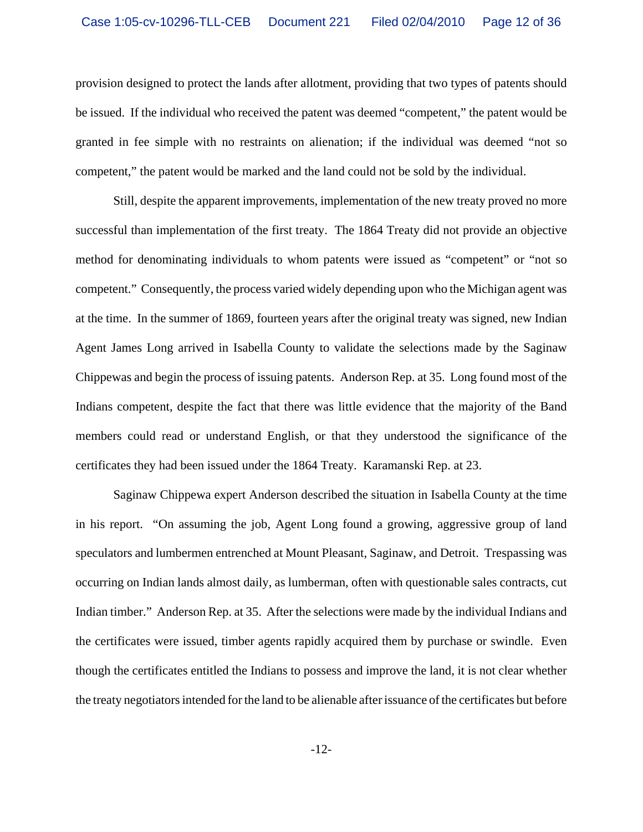provision designed to protect the lands after allotment, providing that two types of patents should be issued. If the individual who received the patent was deemed "competent," the patent would be granted in fee simple with no restraints on alienation; if the individual was deemed "not so competent," the patent would be marked and the land could not be sold by the individual.

Still, despite the apparent improvements, implementation of the new treaty proved no more successful than implementation of the first treaty. The 1864 Treaty did not provide an objective method for denominating individuals to whom patents were issued as "competent" or "not so competent." Consequently, the process varied widely depending upon who the Michigan agent was at the time. In the summer of 1869, fourteen years after the original treaty was signed, new Indian Agent James Long arrived in Isabella County to validate the selections made by the Saginaw Chippewas and begin the process of issuing patents. Anderson Rep. at 35. Long found most of the Indians competent, despite the fact that there was little evidence that the majority of the Band members could read or understand English, or that they understood the significance of the certificates they had been issued under the 1864 Treaty. Karamanski Rep. at 23.

Saginaw Chippewa expert Anderson described the situation in Isabella County at the time in his report. "On assuming the job, Agent Long found a growing, aggressive group of land speculators and lumbermen entrenched at Mount Pleasant, Saginaw, and Detroit. Trespassing was occurring on Indian lands almost daily, as lumberman, often with questionable sales contracts, cut Indian timber." Anderson Rep. at 35. After the selections were made by the individual Indians and the certificates were issued, timber agents rapidly acquired them by purchase or swindle. Even though the certificates entitled the Indians to possess and improve the land, it is not clear whether the treaty negotiators intended for the land to be alienable after issuance of the certificates but before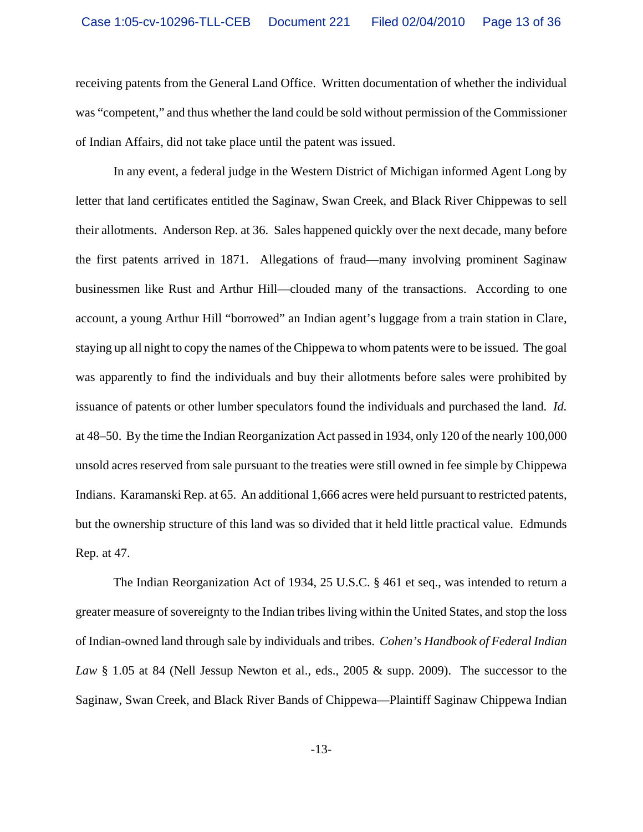receiving patents from the General Land Office. Written documentation of whether the individual was "competent," and thus whether the land could be sold without permission of the Commissioner of Indian Affairs, did not take place until the patent was issued.

In any event, a federal judge in the Western District of Michigan informed Agent Long by letter that land certificates entitled the Saginaw, Swan Creek, and Black River Chippewas to sell their allotments. Anderson Rep. at 36. Sales happened quickly over the next decade, many before the first patents arrived in 1871. Allegations of fraud—many involving prominent Saginaw businessmen like Rust and Arthur Hill—clouded many of the transactions. According to one account, a young Arthur Hill "borrowed" an Indian agent's luggage from a train station in Clare, staying up all night to copy the names of the Chippewa to whom patents were to be issued. The goal was apparently to find the individuals and buy their allotments before sales were prohibited by issuance of patents or other lumber speculators found the individuals and purchased the land. *Id.* at 48–50. By the time the Indian Reorganization Act passed in 1934, only 120 of the nearly 100,000 unsold acres reserved from sale pursuant to the treaties were still owned in fee simple by Chippewa Indians. Karamanski Rep. at 65. An additional 1,666 acres were held pursuant to restricted patents, but the ownership structure of this land was so divided that it held little practical value. Edmunds Rep. at 47.

The Indian Reorganization Act of 1934, 25 U.S.C. § 461 et seq., was intended to return a greater measure of sovereignty to the Indian tribes living within the United States, and stop the loss of Indian-owned land through sale by individuals and tribes. *Cohen's Handbook of Federal Indian Law* § 1.05 at 84 (Nell Jessup Newton et al., eds., 2005 & supp. 2009). The successor to the Saginaw, Swan Creek, and Black River Bands of Chippewa—Plaintiff Saginaw Chippewa Indian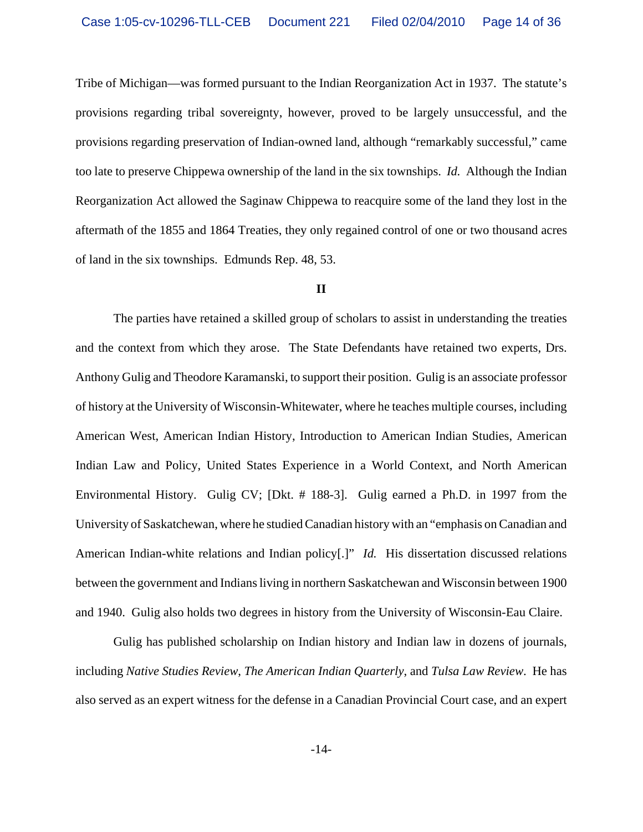Tribe of Michigan—was formed pursuant to the Indian Reorganization Act in 1937. The statute's provisions regarding tribal sovereignty, however, proved to be largely unsuccessful, and the provisions regarding preservation of Indian-owned land, although "remarkably successful," came too late to preserve Chippewa ownership of the land in the six townships. *Id.* Although the Indian Reorganization Act allowed the Saginaw Chippewa to reacquire some of the land they lost in the aftermath of the 1855 and 1864 Treaties, they only regained control of one or two thousand acres of land in the six townships. Edmunds Rep. 48, 53.

### **II**

The parties have retained a skilled group of scholars to assist in understanding the treaties and the context from which they arose. The State Defendants have retained two experts, Drs. Anthony Gulig and Theodore Karamanski, to support their position. Gulig is an associate professor of history at the University of Wisconsin-Whitewater, where he teaches multiple courses, including American West, American Indian History, Introduction to American Indian Studies, American Indian Law and Policy, United States Experience in a World Context, and North American Environmental History. Gulig CV; [Dkt. # 188-3]. Gulig earned a Ph.D. in 1997 from the University of Saskatchewan, where he studied Canadian history with an "emphasis on Canadian and American Indian-white relations and Indian policy[.]" *Id.* His dissertation discussed relations between the government and Indians living in northern Saskatchewan and Wisconsin between 1900 and 1940. Gulig also holds two degrees in history from the University of Wisconsin-Eau Claire.

Gulig has published scholarship on Indian history and Indian law in dozens of journals, including *Native Studies Review*, *The American Indian Quarterly*, and *Tulsa Law Review*. He has also served as an expert witness for the defense in a Canadian Provincial Court case, and an expert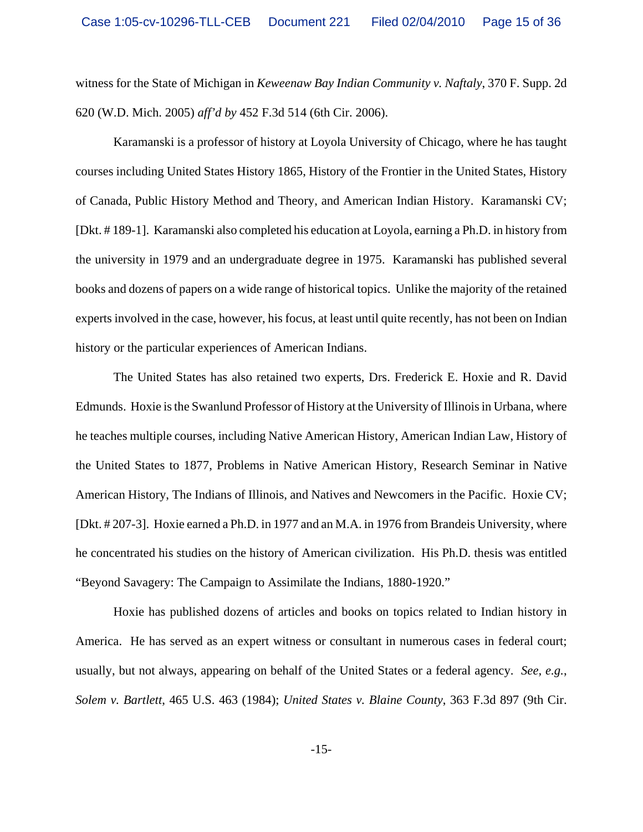witness for the State of Michigan in *Keweenaw Bay Indian Community v. Naftaly*, 370 F. Supp. 2d 620 (W.D. Mich. 2005) *aff'd by* 452 F.3d 514 (6th Cir. 2006).

Karamanski is a professor of history at Loyola University of Chicago, where he has taught courses including United States History 1865, History of the Frontier in the United States, History of Canada, Public History Method and Theory, and American Indian History. Karamanski CV; [Dkt. # 189-1]. Karamanski also completed his education at Loyola, earning a Ph.D. in history from the university in 1979 and an undergraduate degree in 1975. Karamanski has published several books and dozens of papers on a wide range of historical topics. Unlike the majority of the retained experts involved in the case, however, his focus, at least until quite recently, has not been on Indian history or the particular experiences of American Indians.

The United States has also retained two experts, Drs. Frederick E. Hoxie and R. David Edmunds. Hoxie is the Swanlund Professor of History at the University of Illinois in Urbana, where he teaches multiple courses, including Native American History, American Indian Law, History of the United States to 1877, Problems in Native American History, Research Seminar in Native American History, The Indians of Illinois, and Natives and Newcomers in the Pacific. Hoxie CV; [Dkt. # 207-3]. Hoxie earned a Ph.D. in 1977 and an M.A. in 1976 from Brandeis University, where he concentrated his studies on the history of American civilization. His Ph.D. thesis was entitled "Beyond Savagery: The Campaign to Assimilate the Indians, 1880-1920."

Hoxie has published dozens of articles and books on topics related to Indian history in America. He has served as an expert witness or consultant in numerous cases in federal court; usually, but not always, appearing on behalf of the United States or a federal agency. *See, e.g.*, *Solem v. Bartlett*, 465 U.S. 463 (1984); *United States v. Blaine County*, 363 F.3d 897 (9th Cir.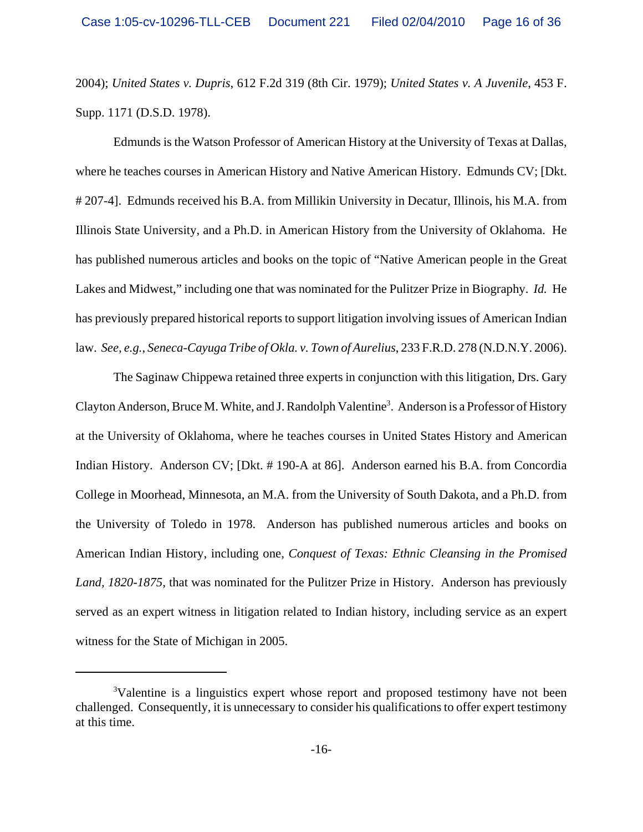2004); *United States v. Dupris*, 612 F.2d 319 (8th Cir. 1979); *United States v. A Juvenile*, 453 F. Supp. 1171 (D.S.D. 1978).

Edmunds is the Watson Professor of American History at the University of Texas at Dallas, where he teaches courses in American History and Native American History. Edmunds CV; [Dkt. # 207-4]. Edmunds received his B.A. from Millikin University in Decatur, Illinois, his M.A. from Illinois State University, and a Ph.D. in American History from the University of Oklahoma. He has published numerous articles and books on the topic of "Native American people in the Great Lakes and Midwest," including one that was nominated for the Pulitzer Prize in Biography. *Id.* He has previously prepared historical reports to support litigation involving issues of American Indian law. *See, e.g.*, *Seneca-Cayuga Tribe of Okla. v. Town of Aurelius*, 233 F.R.D. 278 (N.D.N.Y. 2006).

The Saginaw Chippewa retained three experts in conjunction with this litigation, Drs. Gary Clayton Anderson, Bruce M. White, and J. Randolph Valentine<sup>3</sup>. Anderson is a Professor of History at the University of Oklahoma, where he teaches courses in United States History and American Indian History. Anderson CV; [Dkt. # 190-A at 86]. Anderson earned his B.A. from Concordia College in Moorhead, Minnesota, an M.A. from the University of South Dakota, and a Ph.D. from the University of Toledo in 1978. Anderson has published numerous articles and books on American Indian History, including one, *Conquest of Texas: Ethnic Cleansing in the Promised Land, 1820-1875*, that was nominated for the Pulitzer Prize in History. Anderson has previously served as an expert witness in litigation related to Indian history, including service as an expert witness for the State of Michigan in 2005.

<sup>&</sup>lt;sup>3</sup>Valentine is a linguistics expert whose report and proposed testimony have not been challenged. Consequently, it is unnecessary to consider his qualifications to offer expert testimony at this time.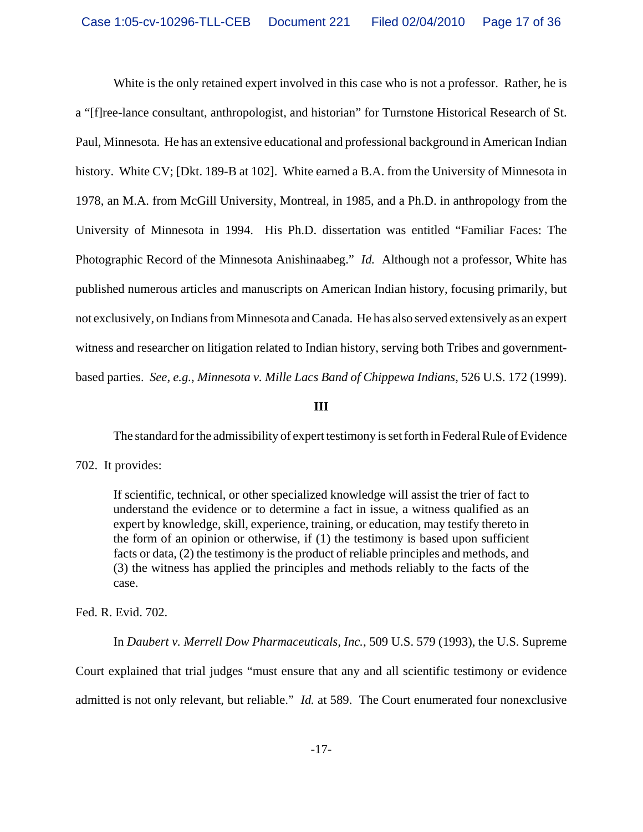White is the only retained expert involved in this case who is not a professor. Rather, he is a "[f]ree-lance consultant, anthropologist, and historian" for Turnstone Historical Research of St. Paul, Minnesota. He has an extensive educational and professional background in American Indian history. White CV; [Dkt. 189-B at 102]. White earned a B.A. from the University of Minnesota in 1978, an M.A. from McGill University, Montreal, in 1985, and a Ph.D. in anthropology from the University of Minnesota in 1994. His Ph.D. dissertation was entitled "Familiar Faces: The Photographic Record of the Minnesota Anishinaabeg." *Id.* Although not a professor, White has published numerous articles and manuscripts on American Indian history, focusing primarily, but not exclusively, on Indians from Minnesota and Canada. He has also served extensively as an expert witness and researcher on litigation related to Indian history, serving both Tribes and governmentbased parties. *See, e.g.*, *Minnesota v. Mille Lacs Band of Chippewa Indians*, 526 U.S. 172 (1999).

### **III**

The standard for the admissibility of expert testimony is set forth in Federal Rule of Evidence

702. It provides:

If scientific, technical, or other specialized knowledge will assist the trier of fact to understand the evidence or to determine a fact in issue, a witness qualified as an expert by knowledge, skill, experience, training, or education, may testify thereto in the form of an opinion or otherwise, if (1) the testimony is based upon sufficient facts or data, (2) the testimony is the product of reliable principles and methods, and (3) the witness has applied the principles and methods reliably to the facts of the case.

Fed. R. Evid. 702.

In *Daubert v. Merrell Dow Pharmaceuticals, Inc.*, 509 U.S. 579 (1993), the U.S. Supreme Court explained that trial judges "must ensure that any and all scientific testimony or evidence admitted is not only relevant, but reliable." *Id.* at 589. The Court enumerated four nonexclusive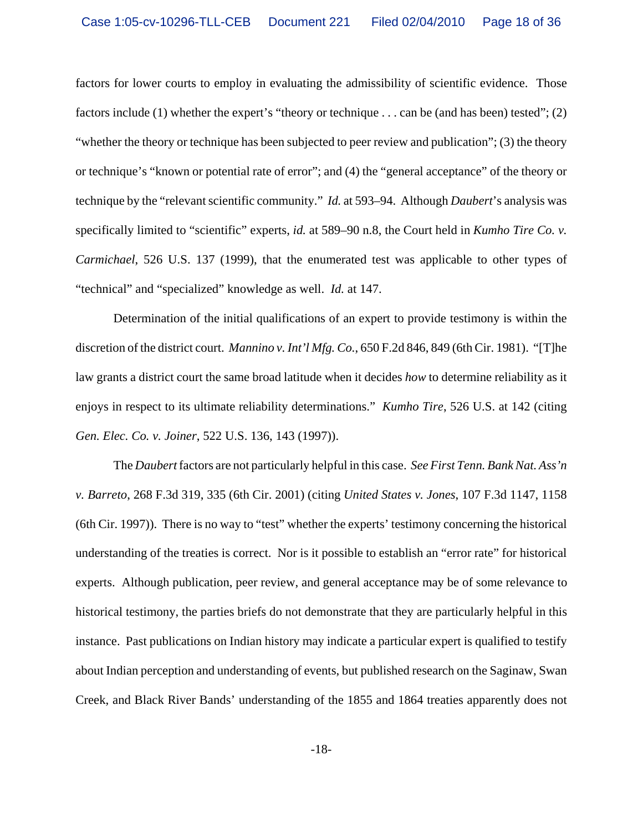factors for lower courts to employ in evaluating the admissibility of scientific evidence. Those factors include (1) whether the expert's "theory or technique . . . can be (and has been) tested"; (2) "whether the theory or technique has been subjected to peer review and publication"; (3) the theory or technique's "known or potential rate of error"; and (4) the "general acceptance" of the theory or technique by the "relevant scientific community." *Id.* at 593–94. Although *Daubert*'s analysis was specifically limited to "scientific" experts, *id.* at 589–90 n.8, the Court held in *Kumho Tire Co. v. Carmichael*, 526 U.S. 137 (1999), that the enumerated test was applicable to other types of "technical" and "specialized" knowledge as well. *Id.* at 147.

Determination of the initial qualifications of an expert to provide testimony is within the discretion of the district court. *Mannino v. Int'l Mfg. Co.*, 650 F.2d 846, 849 (6th Cir. 1981). "[T]he law grants a district court the same broad latitude when it decides *how* to determine reliability as it enjoys in respect to its ultimate reliability determinations." *Kumho Tire*, 526 U.S. at 142 (citing *Gen. Elec. Co. v. Joiner*, 522 U.S. 136, 143 (1997)).

The *Daubert* factors are not particularly helpful in this case. *See First Tenn. Bank Nat. Ass'n v. Barreto*, 268 F.3d 319, 335 (6th Cir. 2001) (citing *United States v. Jones*, 107 F.3d 1147, 1158 (6th Cir. 1997)). There is no way to "test" whether the experts' testimony concerning the historical understanding of the treaties is correct. Nor is it possible to establish an "error rate" for historical experts. Although publication, peer review, and general acceptance may be of some relevance to historical testimony, the parties briefs do not demonstrate that they are particularly helpful in this instance. Past publications on Indian history may indicate a particular expert is qualified to testify about Indian perception and understanding of events, but published research on the Saginaw, Swan Creek, and Black River Bands' understanding of the 1855 and 1864 treaties apparently does not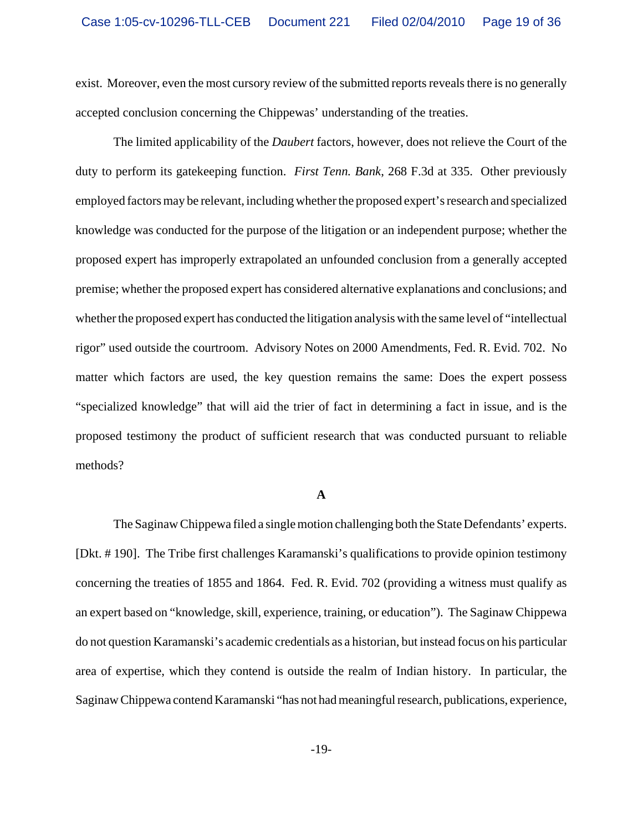exist. Moreover, even the most cursory review of the submitted reports reveals there is no generally accepted conclusion concerning the Chippewas' understanding of the treaties.

The limited applicability of the *Daubert* factors, however, does not relieve the Court of the duty to perform its gatekeeping function. *First Tenn. Bank*, 268 F.3d at 335. Other previously employed factors may be relevant, including whether the proposed expert's research and specialized knowledge was conducted for the purpose of the litigation or an independent purpose; whether the proposed expert has improperly extrapolated an unfounded conclusion from a generally accepted premise; whether the proposed expert has considered alternative explanations and conclusions; and whether the proposed expert has conducted the litigation analysis with the same level of "intellectual rigor" used outside the courtroom. Advisory Notes on 2000 Amendments, Fed. R. Evid. 702. No matter which factors are used, the key question remains the same: Does the expert possess "specialized knowledge" that will aid the trier of fact in determining a fact in issue, and is the proposed testimony the product of sufficient research that was conducted pursuant to reliable methods?

#### **A**

The Saginaw Chippewa filed a single motion challenging both the State Defendants' experts. [Dkt. # 190]. The Tribe first challenges Karamanski's qualifications to provide opinion testimony concerning the treaties of 1855 and 1864. Fed. R. Evid. 702 (providing a witness must qualify as an expert based on "knowledge, skill, experience, training, or education"). The Saginaw Chippewa do not question Karamanski's academic credentials as a historian, but instead focus on his particular area of expertise, which they contend is outside the realm of Indian history. In particular, the Saginaw Chippewa contend Karamanski "has not had meaningful research, publications, experience,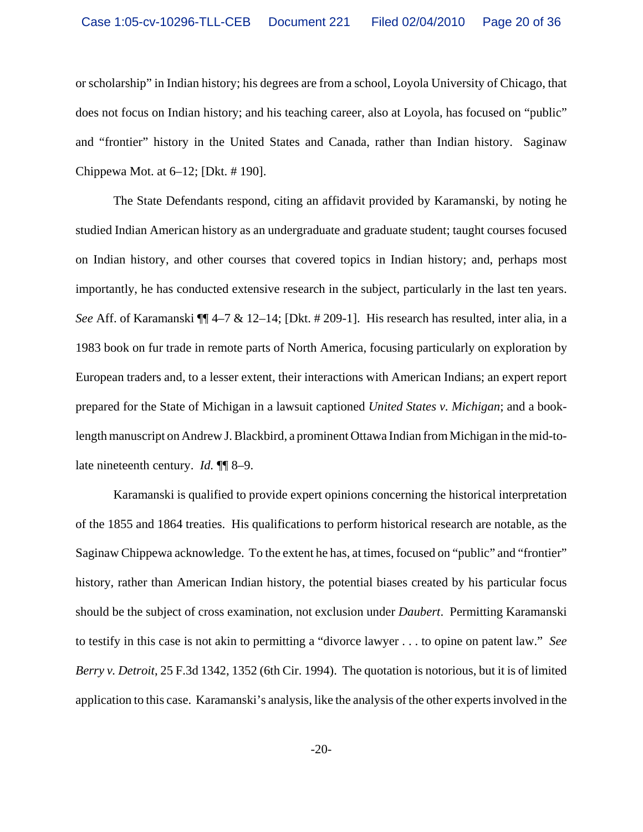or scholarship" in Indian history; his degrees are from a school, Loyola University of Chicago, that does not focus on Indian history; and his teaching career, also at Loyola, has focused on "public" and "frontier" history in the United States and Canada, rather than Indian history. Saginaw Chippewa Mot. at 6–12; [Dkt. # 190].

The State Defendants respond, citing an affidavit provided by Karamanski, by noting he studied Indian American history as an undergraduate and graduate student; taught courses focused on Indian history, and other courses that covered topics in Indian history; and, perhaps most importantly, he has conducted extensive research in the subject, particularly in the last ten years. *See* Aff. of Karamanski ¶¶ 4–7 & 12–14; [Dkt. # 209-1]. His research has resulted, inter alia, in a 1983 book on fur trade in remote parts of North America, focusing particularly on exploration by European traders and, to a lesser extent, their interactions with American Indians; an expert report prepared for the State of Michigan in a lawsuit captioned *United States v. Michigan*; and a booklength manuscript on Andrew J. Blackbird, a prominent Ottawa Indian from Michigan in the mid-tolate nineteenth century. *Id.* ¶¶ 8–9.

Karamanski is qualified to provide expert opinions concerning the historical interpretation of the 1855 and 1864 treaties. His qualifications to perform historical research are notable, as the Saginaw Chippewa acknowledge. To the extent he has, at times, focused on "public" and "frontier" history, rather than American Indian history, the potential biases created by his particular focus should be the subject of cross examination, not exclusion under *Daubert*. Permitting Karamanski to testify in this case is not akin to permitting a "divorce lawyer . . . to opine on patent law." *See Berry v. Detroit*, 25 F.3d 1342, 1352 (6th Cir. 1994). The quotation is notorious, but it is of limited application to this case. Karamanski's analysis, like the analysis of the other experts involved in the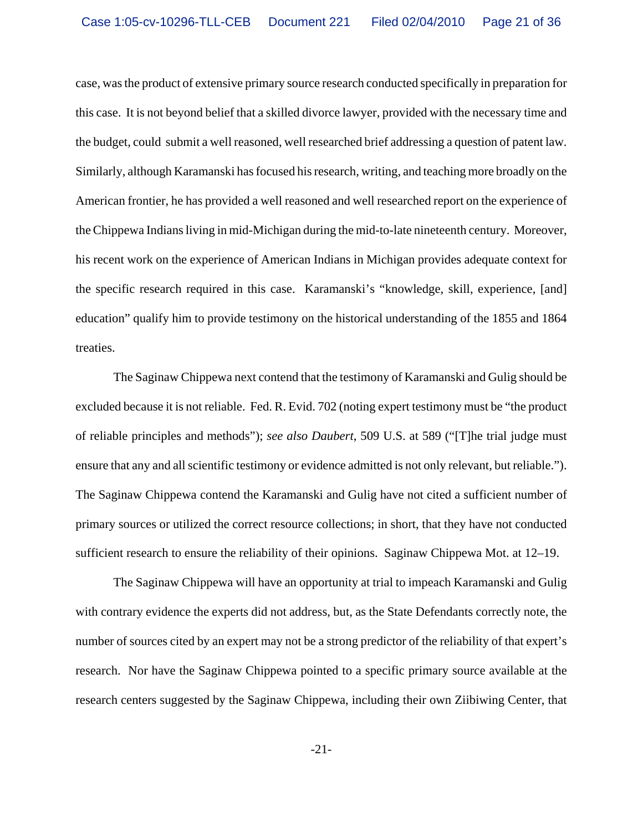case, was the product of extensive primary source research conducted specifically in preparation for this case. It is not beyond belief that a skilled divorce lawyer, provided with the necessary time and the budget, could submit a well reasoned, well researched brief addressing a question of patent law. Similarly, although Karamanski has focused his research, writing, and teaching more broadly on the American frontier, he has provided a well reasoned and well researched report on the experience of the Chippewa Indians living in mid-Michigan during the mid-to-late nineteenth century. Moreover, his recent work on the experience of American Indians in Michigan provides adequate context for the specific research required in this case. Karamanski's "knowledge, skill, experience, [and] education" qualify him to provide testimony on the historical understanding of the 1855 and 1864 treaties.

The Saginaw Chippewa next contend that the testimony of Karamanski and Gulig should be excluded because it is not reliable. Fed. R. Evid. 702 (noting expert testimony must be "the product of reliable principles and methods"); *see also Daubert*, 509 U.S. at 589 ("[T]he trial judge must ensure that any and all scientific testimony or evidence admitted is not only relevant, but reliable."). The Saginaw Chippewa contend the Karamanski and Gulig have not cited a sufficient number of primary sources or utilized the correct resource collections; in short, that they have not conducted sufficient research to ensure the reliability of their opinions. Saginaw Chippewa Mot. at 12–19.

The Saginaw Chippewa will have an opportunity at trial to impeach Karamanski and Gulig with contrary evidence the experts did not address, but, as the State Defendants correctly note, the number of sources cited by an expert may not be a strong predictor of the reliability of that expert's research. Nor have the Saginaw Chippewa pointed to a specific primary source available at the research centers suggested by the Saginaw Chippewa, including their own Ziibiwing Center, that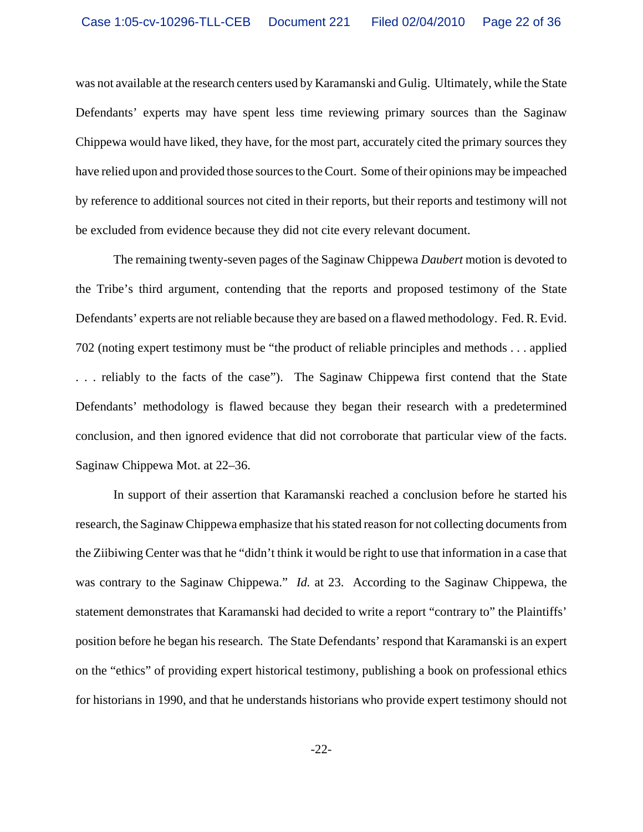was not available at the research centers used by Karamanski and Gulig. Ultimately, while the State Defendants' experts may have spent less time reviewing primary sources than the Saginaw Chippewa would have liked, they have, for the most part, accurately cited the primary sources they have relied upon and provided those sources to the Court. Some of their opinions may be impeached by reference to additional sources not cited in their reports, but their reports and testimony will not be excluded from evidence because they did not cite every relevant document.

The remaining twenty-seven pages of the Saginaw Chippewa *Daubert* motion is devoted to the Tribe's third argument, contending that the reports and proposed testimony of the State Defendants' experts are not reliable because they are based on a flawed methodology. Fed. R. Evid. 702 (noting expert testimony must be "the product of reliable principles and methods . . . applied . . . reliably to the facts of the case"). The Saginaw Chippewa first contend that the State Defendants' methodology is flawed because they began their research with a predetermined conclusion, and then ignored evidence that did not corroborate that particular view of the facts. Saginaw Chippewa Mot. at 22–36.

In support of their assertion that Karamanski reached a conclusion before he started his research, the Saginaw Chippewa emphasize that his stated reason for not collecting documents from the Ziibiwing Center was that he "didn't think it would be right to use that information in a case that was contrary to the Saginaw Chippewa." *Id.* at 23. According to the Saginaw Chippewa, the statement demonstrates that Karamanski had decided to write a report "contrary to" the Plaintiffs' position before he began his research. The State Defendants' respond that Karamanski is an expert on the "ethics" of providing expert historical testimony, publishing a book on professional ethics for historians in 1990, and that he understands historians who provide expert testimony should not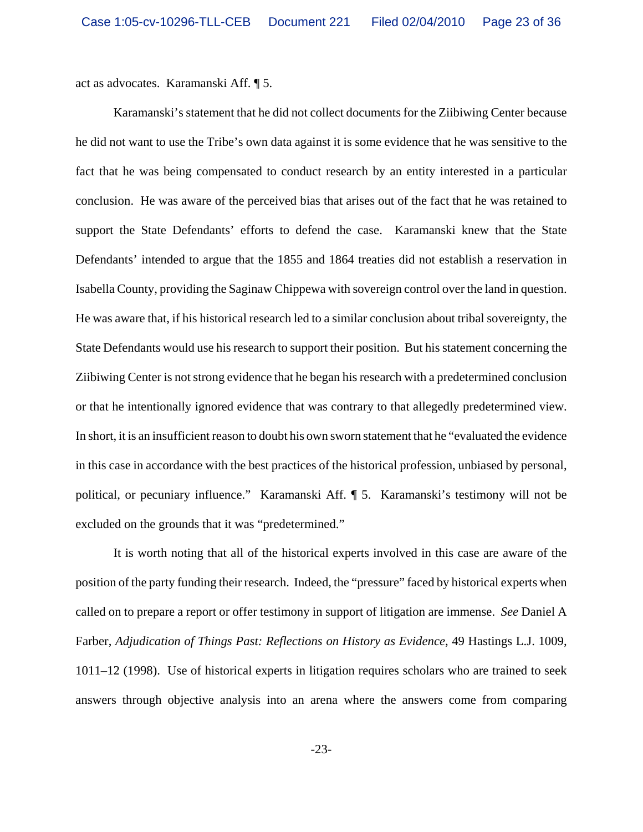act as advocates. Karamanski Aff. ¶ 5.

Karamanski's statement that he did not collect documents for the Ziibiwing Center because he did not want to use the Tribe's own data against it is some evidence that he was sensitive to the fact that he was being compensated to conduct research by an entity interested in a particular conclusion. He was aware of the perceived bias that arises out of the fact that he was retained to support the State Defendants' efforts to defend the case. Karamanski knew that the State Defendants' intended to argue that the 1855 and 1864 treaties did not establish a reservation in Isabella County, providing the Saginaw Chippewa with sovereign control over the land in question. He was aware that, if his historical research led to a similar conclusion about tribal sovereignty, the State Defendants would use his research to support their position. But his statement concerning the Ziibiwing Center is not strong evidence that he began his research with a predetermined conclusion or that he intentionally ignored evidence that was contrary to that allegedly predetermined view. In short, it is an insufficient reason to doubt his own sworn statement that he "evaluated the evidence in this case in accordance with the best practices of the historical profession, unbiased by personal, political, or pecuniary influence." Karamanski Aff. ¶ 5. Karamanski's testimony will not be excluded on the grounds that it was "predetermined."

It is worth noting that all of the historical experts involved in this case are aware of the position of the party funding their research. Indeed, the "pressure" faced by historical experts when called on to prepare a report or offer testimony in support of litigation are immense. *See* Daniel A Farber, *Adjudication of Things Past: Reflections on History as Evidence*, 49 Hastings L.J. 1009, 1011–12 (1998). Use of historical experts in litigation requires scholars who are trained to seek answers through objective analysis into an arena where the answers come from comparing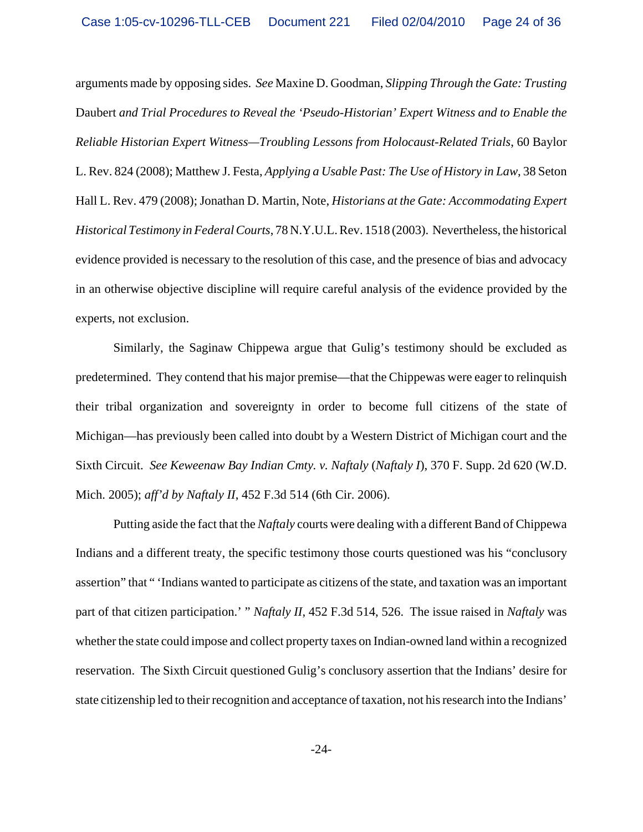arguments made by opposing sides. *See* Maxine D. Goodman, *Slipping Through the Gate: Trusting* Daubert *and Trial Procedures to Reveal the 'Pseudo-Historian' Expert Witness and to Enable the Reliable Historian Expert Witness—Troubling Lessons from Holocaust-Related Trials*, 60 Baylor L. Rev. 824 (2008); Matthew J. Festa, *Applying a Usable Past: The Use of History in Law*, 38 Seton Hall L. Rev. 479 (2008); Jonathan D. Martin, Note, *Historians at the Gate: Accommodating Expert Historical Testimony in Federal Courts*, 78 N.Y.U.L. Rev. 1518 (2003). Nevertheless, the historical evidence provided is necessary to the resolution of this case, and the presence of bias and advocacy in an otherwise objective discipline will require careful analysis of the evidence provided by the experts, not exclusion.

Similarly, the Saginaw Chippewa argue that Gulig's testimony should be excluded as predetermined. They contend that his major premise—that the Chippewas were eager to relinquish their tribal organization and sovereignty in order to become full citizens of the state of Michigan—has previously been called into doubt by a Western District of Michigan court and the Sixth Circuit. *See Keweenaw Bay Indian Cmty. v. Naftaly* (*Naftaly I*), 370 F. Supp. 2d 620 (W.D. Mich. 2005); *aff'd by Naftaly II*, 452 F.3d 514 (6th Cir. 2006).

Putting aside the fact that the *Naftaly* courts were dealing with a different Band of Chippewa Indians and a different treaty, the specific testimony those courts questioned was his "conclusory assertion" that " 'Indians wanted to participate as citizens of the state, and taxation was an important part of that citizen participation.' " *Naftaly II*, 452 F.3d 514, 526. The issue raised in *Naftaly* was whether the state could impose and collect property taxes on Indian-owned land within a recognized reservation. The Sixth Circuit questioned Gulig's conclusory assertion that the Indians' desire for state citizenship led to their recognition and acceptance of taxation, not his research into the Indians'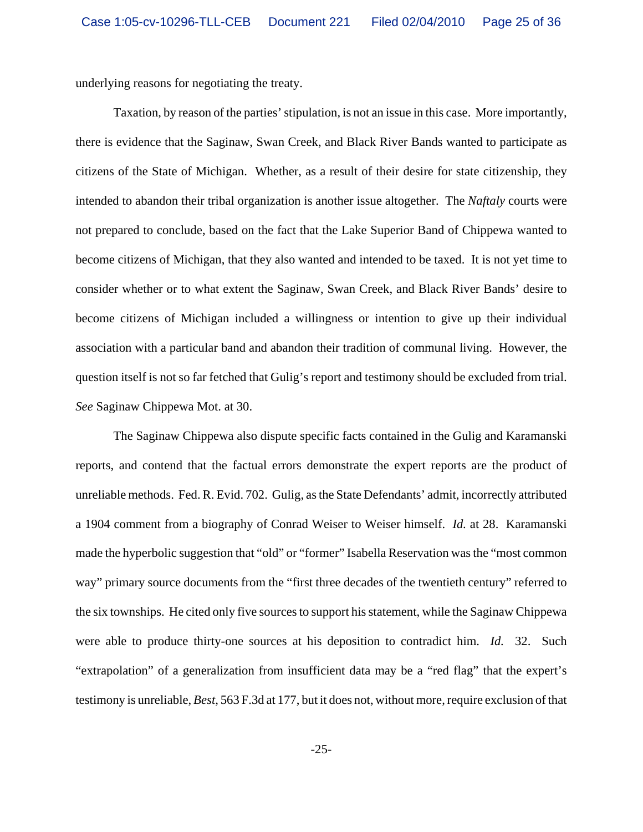underlying reasons for negotiating the treaty.

Taxation, by reason of the parties' stipulation, is not an issue in this case. More importantly, there is evidence that the Saginaw, Swan Creek, and Black River Bands wanted to participate as citizens of the State of Michigan. Whether, as a result of their desire for state citizenship, they intended to abandon their tribal organization is another issue altogether. The *Naftaly* courts were not prepared to conclude, based on the fact that the Lake Superior Band of Chippewa wanted to become citizens of Michigan, that they also wanted and intended to be taxed. It is not yet time to consider whether or to what extent the Saginaw, Swan Creek, and Black River Bands' desire to become citizens of Michigan included a willingness or intention to give up their individual association with a particular band and abandon their tradition of communal living. However, the question itself is not so far fetched that Gulig's report and testimony should be excluded from trial. *See* Saginaw Chippewa Mot. at 30.

The Saginaw Chippewa also dispute specific facts contained in the Gulig and Karamanski reports, and contend that the factual errors demonstrate the expert reports are the product of unreliable methods. Fed. R. Evid. 702. Gulig, as the State Defendants' admit, incorrectly attributed a 1904 comment from a biography of Conrad Weiser to Weiser himself. *Id.* at 28. Karamanski made the hyperbolic suggestion that "old" or "former" Isabella Reservation was the "most common way" primary source documents from the "first three decades of the twentieth century" referred to the six townships. He cited only five sources to support his statement, while the Saginaw Chippewa were able to produce thirty-one sources at his deposition to contradict him. *Id.* 32. Such "extrapolation" of a generalization from insufficient data may be a "red flag" that the expert's testimony is unreliable, *Best*, 563 F.3d at 177, but it does not, without more, require exclusion of that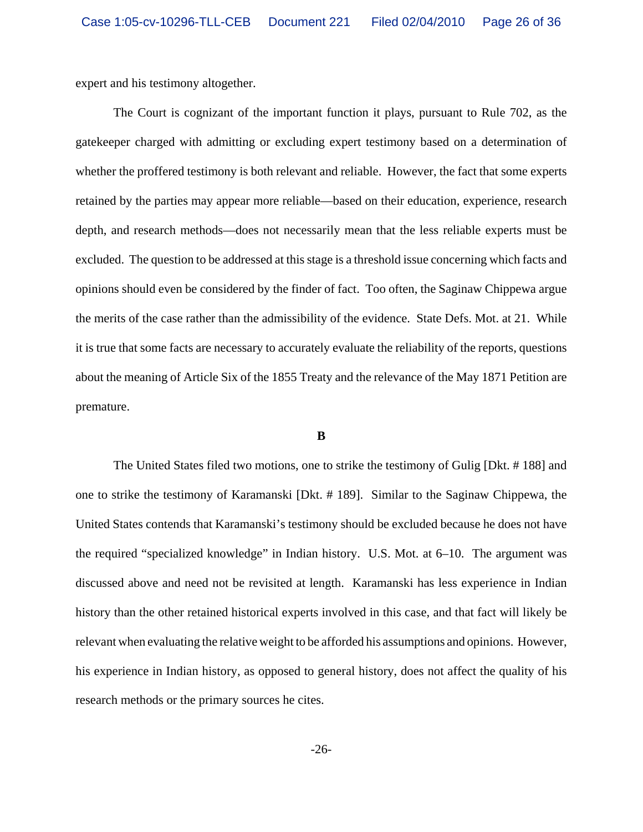expert and his testimony altogether.

The Court is cognizant of the important function it plays, pursuant to Rule 702, as the gatekeeper charged with admitting or excluding expert testimony based on a determination of whether the proffered testimony is both relevant and reliable. However, the fact that some experts retained by the parties may appear more reliable—based on their education, experience, research depth, and research methods—does not necessarily mean that the less reliable experts must be excluded. The question to be addressed at this stage is a threshold issue concerning which facts and opinions should even be considered by the finder of fact. Too often, the Saginaw Chippewa argue the merits of the case rather than the admissibility of the evidence. State Defs. Mot. at 21. While it is true that some facts are necessary to accurately evaluate the reliability of the reports, questions about the meaning of Article Six of the 1855 Treaty and the relevance of the May 1871 Petition are premature.

#### **B**

The United States filed two motions, one to strike the testimony of Gulig [Dkt. # 188] and one to strike the testimony of Karamanski [Dkt. # 189]. Similar to the Saginaw Chippewa, the United States contends that Karamanski's testimony should be excluded because he does not have the required "specialized knowledge" in Indian history. U.S. Mot. at 6–10. The argument was discussed above and need not be revisited at length. Karamanski has less experience in Indian history than the other retained historical experts involved in this case, and that fact will likely be relevant when evaluating the relative weight to be afforded his assumptions and opinions. However, his experience in Indian history, as opposed to general history, does not affect the quality of his research methods or the primary sources he cites.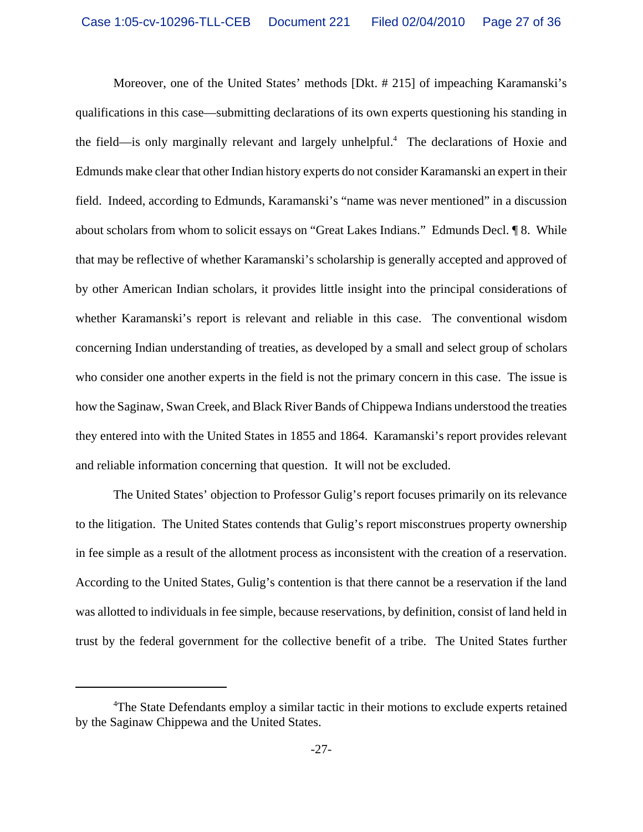Moreover, one of the United States' methods [Dkt. # 215] of impeaching Karamanski's qualifications in this case—submitting declarations of its own experts questioning his standing in the field—is only marginally relevant and largely unhelpful.<sup>4</sup> The declarations of Hoxie and Edmunds make clear that other Indian history experts do not consider Karamanski an expert in their field. Indeed, according to Edmunds, Karamanski's "name was never mentioned" in a discussion about scholars from whom to solicit essays on "Great Lakes Indians." Edmunds Decl. ¶ 8. While that may be reflective of whether Karamanski's scholarship is generally accepted and approved of by other American Indian scholars, it provides little insight into the principal considerations of whether Karamanski's report is relevant and reliable in this case. The conventional wisdom concerning Indian understanding of treaties, as developed by a small and select group of scholars who consider one another experts in the field is not the primary concern in this case. The issue is how the Saginaw, Swan Creek, and Black River Bands of Chippewa Indians understood the treaties they entered into with the United States in 1855 and 1864. Karamanski's report provides relevant and reliable information concerning that question. It will not be excluded.

The United States' objection to Professor Gulig's report focuses primarily on its relevance to the litigation. The United States contends that Gulig's report misconstrues property ownership in fee simple as a result of the allotment process as inconsistent with the creation of a reservation. According to the United States, Gulig's contention is that there cannot be a reservation if the land was allotted to individuals in fee simple, because reservations, by definition, consist of land held in trust by the federal government for the collective benefit of a tribe. The United States further

<sup>&</sup>lt;sup>4</sup>The State Defendants employ a similar tactic in their motions to exclude experts retained by the Saginaw Chippewa and the United States.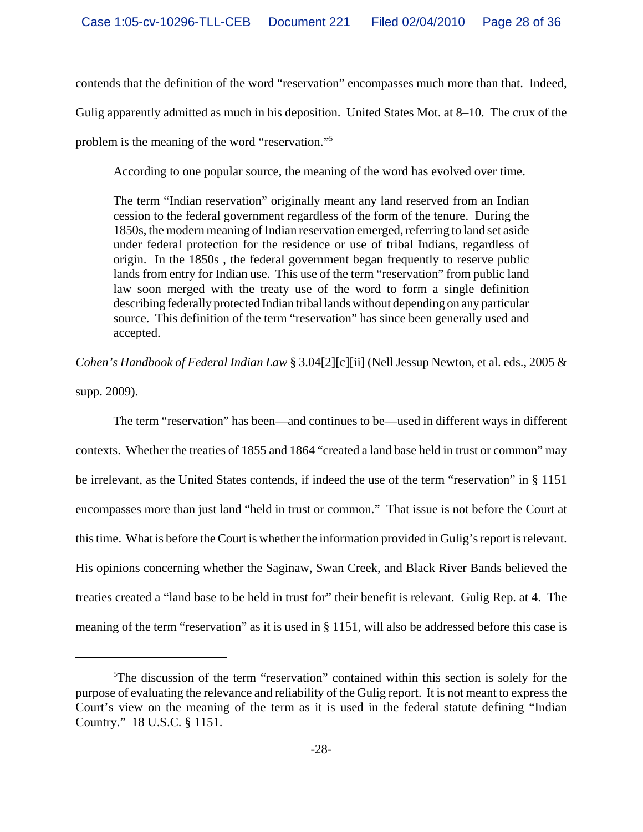contends that the definition of the word "reservation" encompasses much more than that. Indeed, Gulig apparently admitted as much in his deposition. United States Mot. at 8–10. The crux of the problem is the meaning of the word "reservation."5

According to one popular source, the meaning of the word has evolved over time.

The term "Indian reservation" originally meant any land reserved from an Indian cession to the federal government regardless of the form of the tenure. During the 1850s, the modern meaning of Indian reservation emerged, referring to land set aside under federal protection for the residence or use of tribal Indians, regardless of origin. In the 1850s , the federal government began frequently to reserve public lands from entry for Indian use. This use of the term "reservation" from public land law soon merged with the treaty use of the word to form a single definition describing federally protected Indian tribal lands without depending on any particular source. This definition of the term "reservation" has since been generally used and accepted.

*Cohen's Handbook of Federal Indian Law* § 3.04[2][c][ii] (Nell Jessup Newton, et al. eds., 2005 & supp. 2009).

The term "reservation" has been—and continues to be—used in different ways in different contexts. Whether the treaties of 1855 and 1864 "created a land base held in trust or common" may be irrelevant, as the United States contends, if indeed the use of the term "reservation" in § 1151 encompasses more than just land "held in trust or common." That issue is not before the Court at this time. What is before the Court is whether the information provided in Gulig's report is relevant. His opinions concerning whether the Saginaw, Swan Creek, and Black River Bands believed the treaties created a "land base to be held in trust for" their benefit is relevant. Gulig Rep. at 4. The meaning of the term "reservation" as it is used in § 1151, will also be addressed before this case is

<sup>&</sup>lt;sup>5</sup>The discussion of the term "reservation" contained within this section is solely for the purpose of evaluating the relevance and reliability of the Gulig report. It is not meant to express the Court's view on the meaning of the term as it is used in the federal statute defining "Indian Country." 18 U.S.C. § 1151.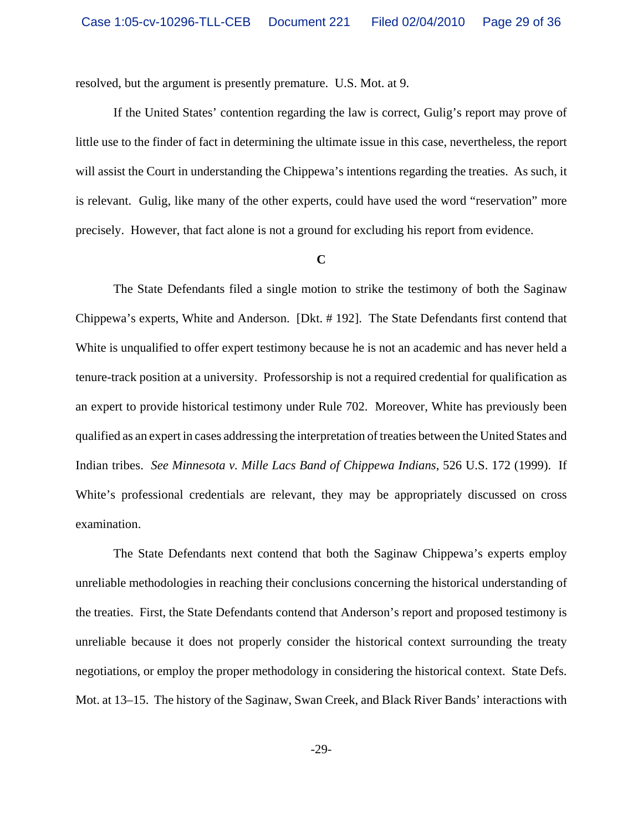resolved, but the argument is presently premature. U.S. Mot. at 9.

If the United States' contention regarding the law is correct, Gulig's report may prove of little use to the finder of fact in determining the ultimate issue in this case, nevertheless, the report will assist the Court in understanding the Chippewa's intentions regarding the treaties. As such, it is relevant. Gulig, like many of the other experts, could have used the word "reservation" more precisely. However, that fact alone is not a ground for excluding his report from evidence.

#### **C**

The State Defendants filed a single motion to strike the testimony of both the Saginaw Chippewa's experts, White and Anderson. [Dkt. # 192]. The State Defendants first contend that White is unqualified to offer expert testimony because he is not an academic and has never held a tenure-track position at a university. Professorship is not a required credential for qualification as an expert to provide historical testimony under Rule 702. Moreover, White has previously been qualified as an expert in cases addressing the interpretation of treaties between the United States and Indian tribes. *See Minnesota v. Mille Lacs Band of Chippewa Indians*, 526 U.S. 172 (1999). If White's professional credentials are relevant, they may be appropriately discussed on cross examination.

The State Defendants next contend that both the Saginaw Chippewa's experts employ unreliable methodologies in reaching their conclusions concerning the historical understanding of the treaties. First, the State Defendants contend that Anderson's report and proposed testimony is unreliable because it does not properly consider the historical context surrounding the treaty negotiations, or employ the proper methodology in considering the historical context. State Defs. Mot. at 13–15. The history of the Saginaw, Swan Creek, and Black River Bands' interactions with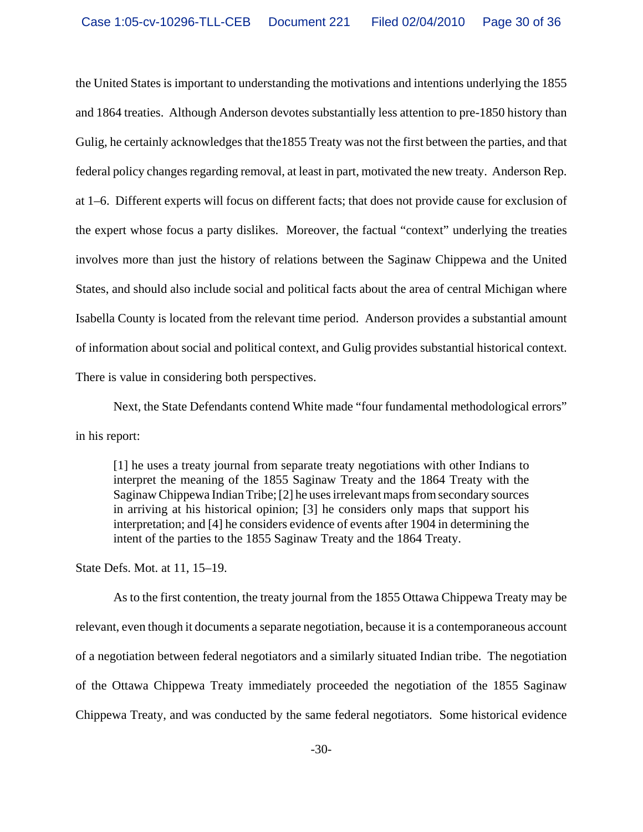the United States is important to understanding the motivations and intentions underlying the 1855 and 1864 treaties. Although Anderson devotes substantially less attention to pre-1850 history than Gulig, he certainly acknowledges that the1855 Treaty was not the first between the parties, and that federal policy changes regarding removal, at least in part, motivated the new treaty. Anderson Rep. at 1–6. Different experts will focus on different facts; that does not provide cause for exclusion of the expert whose focus a party dislikes. Moreover, the factual "context" underlying the treaties involves more than just the history of relations between the Saginaw Chippewa and the United States, and should also include social and political facts about the area of central Michigan where Isabella County is located from the relevant time period. Anderson provides a substantial amount of information about social and political context, and Gulig provides substantial historical context. There is value in considering both perspectives.

Next, the State Defendants contend White made "four fundamental methodological errors" in his report:

[1] he uses a treaty journal from separate treaty negotiations with other Indians to interpret the meaning of the 1855 Saginaw Treaty and the 1864 Treaty with the Saginaw Chippewa Indian Tribe; [2] he uses irrelevant maps from secondary sources in arriving at his historical opinion; [3] he considers only maps that support his interpretation; and [4] he considers evidence of events after 1904 in determining the intent of the parties to the 1855 Saginaw Treaty and the 1864 Treaty.

State Defs. Mot. at 11, 15–19.

As to the first contention, the treaty journal from the 1855 Ottawa Chippewa Treaty may be relevant, even though it documents a separate negotiation, because it is a contemporaneous account of a negotiation between federal negotiators and a similarly situated Indian tribe. The negotiation of the Ottawa Chippewa Treaty immediately proceeded the negotiation of the 1855 Saginaw Chippewa Treaty, and was conducted by the same federal negotiators. Some historical evidence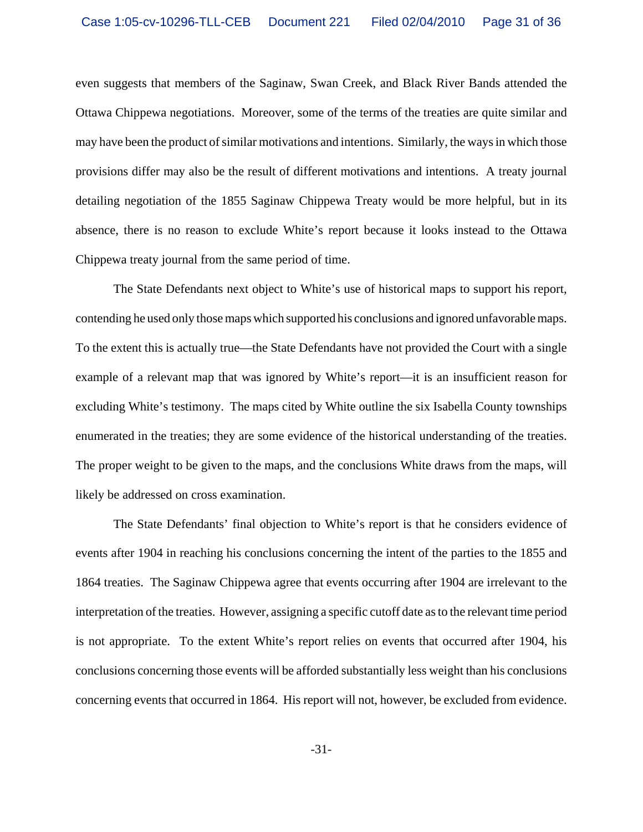even suggests that members of the Saginaw, Swan Creek, and Black River Bands attended the Ottawa Chippewa negotiations. Moreover, some of the terms of the treaties are quite similar and may have been the product of similar motivations and intentions. Similarly, the ways in which those provisions differ may also be the result of different motivations and intentions. A treaty journal detailing negotiation of the 1855 Saginaw Chippewa Treaty would be more helpful, but in its absence, there is no reason to exclude White's report because it looks instead to the Ottawa Chippewa treaty journal from the same period of time.

The State Defendants next object to White's use of historical maps to support his report, contending he used only those maps which supported his conclusions and ignored unfavorable maps. To the extent this is actually true—the State Defendants have not provided the Court with a single example of a relevant map that was ignored by White's report—it is an insufficient reason for excluding White's testimony. The maps cited by White outline the six Isabella County townships enumerated in the treaties; they are some evidence of the historical understanding of the treaties. The proper weight to be given to the maps, and the conclusions White draws from the maps, will likely be addressed on cross examination.

The State Defendants' final objection to White's report is that he considers evidence of events after 1904 in reaching his conclusions concerning the intent of the parties to the 1855 and 1864 treaties. The Saginaw Chippewa agree that events occurring after 1904 are irrelevant to the interpretation of the treaties. However, assigning a specific cutoff date as to the relevant time period is not appropriate. To the extent White's report relies on events that occurred after 1904, his conclusions concerning those events will be afforded substantially less weight than his conclusions concerning events that occurred in 1864. His report will not, however, be excluded from evidence.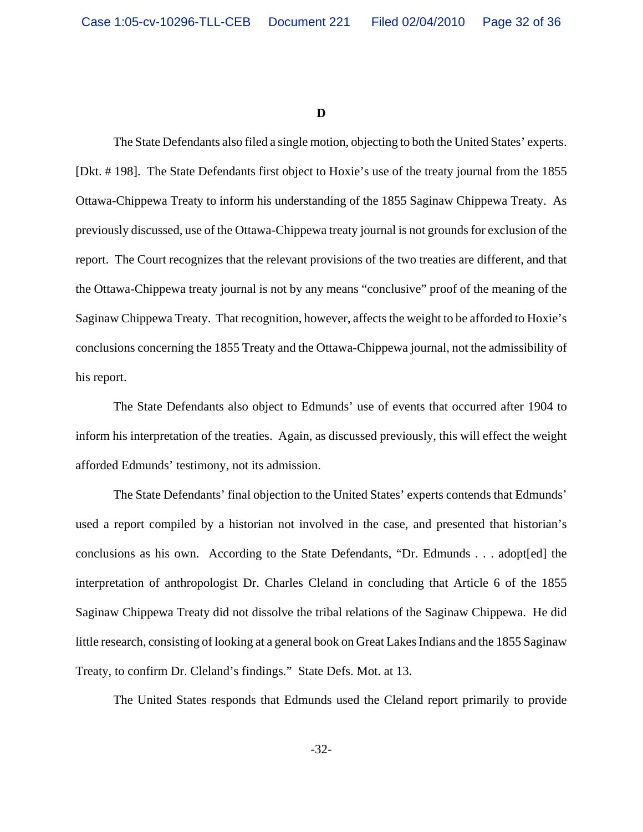**D**

The State Defendants also filed a single motion, objecting to both the United States' experts. [Dkt. # 198]. The State Defendants first object to Hoxie's use of the treaty journal from the 1855 Ottawa-Chippewa Treaty to inform his understanding of the 1855 Saginaw Chippewa Treaty. As previously discussed, use of the Ottawa-Chippewa treaty journal is not grounds for exclusion of the report. The Court recognizes that the relevant provisions of the two treaties are different, and that the Ottawa-Chippewa treaty journal is not by any means "conclusive" proof of the meaning of the Saginaw Chippewa Treaty. That recognition, however, affects the weight to be afforded to Hoxie's conclusions concerning the 1855 Treaty and the Ottawa-Chippewa journal, not the admissibility of his report.

The State Defendants also object to Edmunds' use of events that occurred after 1904 to inform his interpretation of the treaties. Again, as discussed previously, this will effect the weight afforded Edmunds' testimony, not its admission.

The State Defendants' final objection to the United States' experts contends that Edmunds' used a report compiled by a historian not involved in the case, and presented that historian's conclusions as his own. According to the State Defendants, "Dr. Edmunds . . . adopt[ed] the interpretation of anthropologist Dr. Charles Cleland in concluding that Article 6 of the 1855 Saginaw Chippewa Treaty did not dissolve the tribal relations of the Saginaw Chippewa. He did little research, consisting of looking at a general book on Great Lakes Indians and the 1855 Saginaw Treaty, to confirm Dr. Cleland's findings." State Defs. Mot. at 13.

The United States responds that Edmunds used the Cleland report primarily to provide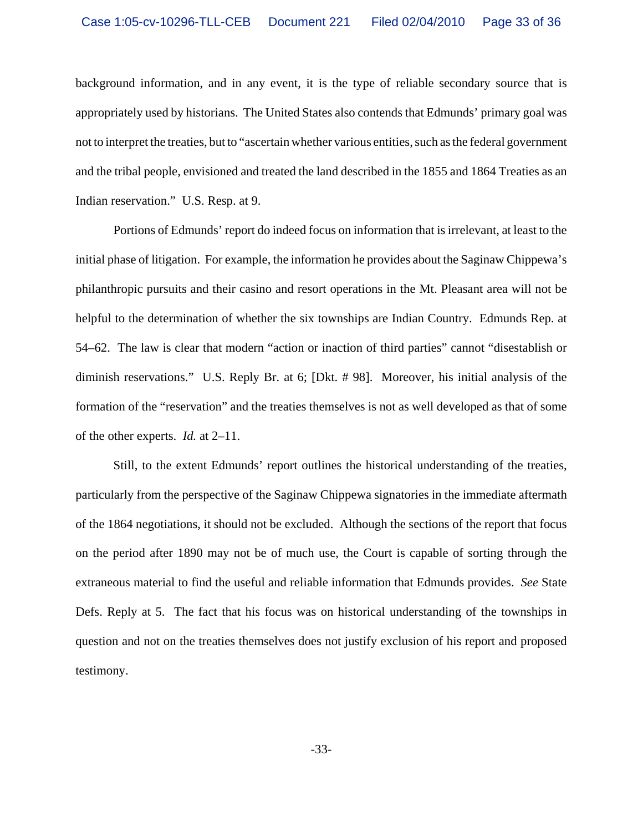background information, and in any event, it is the type of reliable secondary source that is appropriately used by historians. The United States also contends that Edmunds' primary goal was not to interpret the treaties, but to "ascertain whether various entities, such as the federal government and the tribal people, envisioned and treated the land described in the 1855 and 1864 Treaties as an Indian reservation." U.S. Resp. at 9.

Portions of Edmunds' report do indeed focus on information that is irrelevant, at least to the initial phase of litigation. For example, the information he provides about the Saginaw Chippewa's philanthropic pursuits and their casino and resort operations in the Mt. Pleasant area will not be helpful to the determination of whether the six townships are Indian Country. Edmunds Rep. at 54–62. The law is clear that modern "action or inaction of third parties" cannot "disestablish or diminish reservations." U.S. Reply Br. at 6; [Dkt. # 98]. Moreover, his initial analysis of the formation of the "reservation" and the treaties themselves is not as well developed as that of some of the other experts. *Id.* at 2–11.

Still, to the extent Edmunds' report outlines the historical understanding of the treaties, particularly from the perspective of the Saginaw Chippewa signatories in the immediate aftermath of the 1864 negotiations, it should not be excluded. Although the sections of the report that focus on the period after 1890 may not be of much use, the Court is capable of sorting through the extraneous material to find the useful and reliable information that Edmunds provides. *See* State Defs. Reply at 5. The fact that his focus was on historical understanding of the townships in question and not on the treaties themselves does not justify exclusion of his report and proposed testimony.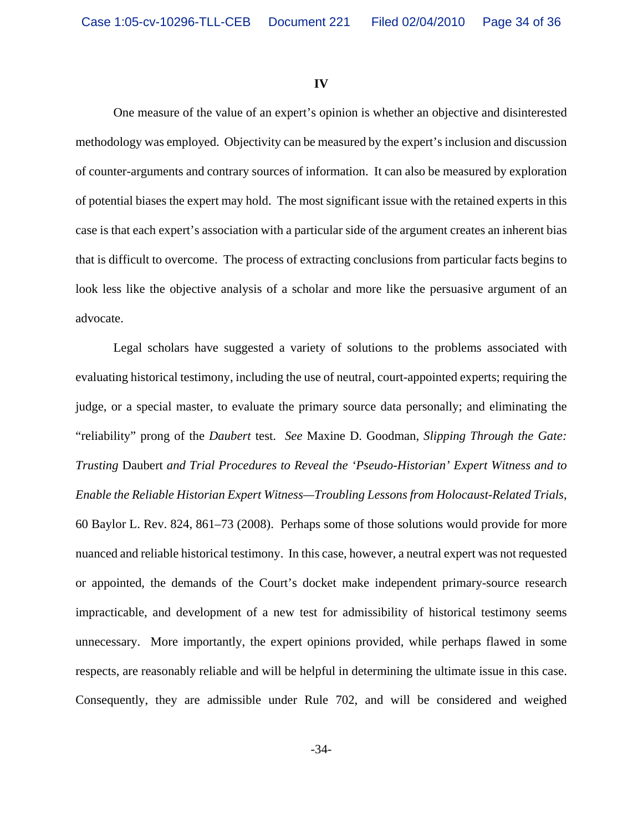#### **IV**

One measure of the value of an expert's opinion is whether an objective and disinterested methodology was employed. Objectivity can be measured by the expert's inclusion and discussion of counter-arguments and contrary sources of information. It can also be measured by exploration of potential biases the expert may hold. The most significant issue with the retained experts in this case is that each expert's association with a particular side of the argument creates an inherent bias that is difficult to overcome. The process of extracting conclusions from particular facts begins to look less like the objective analysis of a scholar and more like the persuasive argument of an advocate.

Legal scholars have suggested a variety of solutions to the problems associated with evaluating historical testimony, including the use of neutral, court-appointed experts; requiring the judge, or a special master, to evaluate the primary source data personally; and eliminating the "reliability" prong of the *Daubert* test. *See* Maxine D. Goodman, *Slipping Through the Gate: Trusting* Daubert *and Trial Procedures to Reveal the 'Pseudo-Historian' Expert Witness and to Enable the Reliable Historian Expert Witness—Troubling Lessons from Holocaust-Related Trials*, 60 Baylor L. Rev. 824, 861–73 (2008). Perhaps some of those solutions would provide for more nuanced and reliable historical testimony. In this case, however, a neutral expert was not requested or appointed, the demands of the Court's docket make independent primary-source research impracticable, and development of a new test for admissibility of historical testimony seems unnecessary. More importantly, the expert opinions provided, while perhaps flawed in some respects, are reasonably reliable and will be helpful in determining the ultimate issue in this case. Consequently, they are admissible under Rule 702, and will be considered and weighed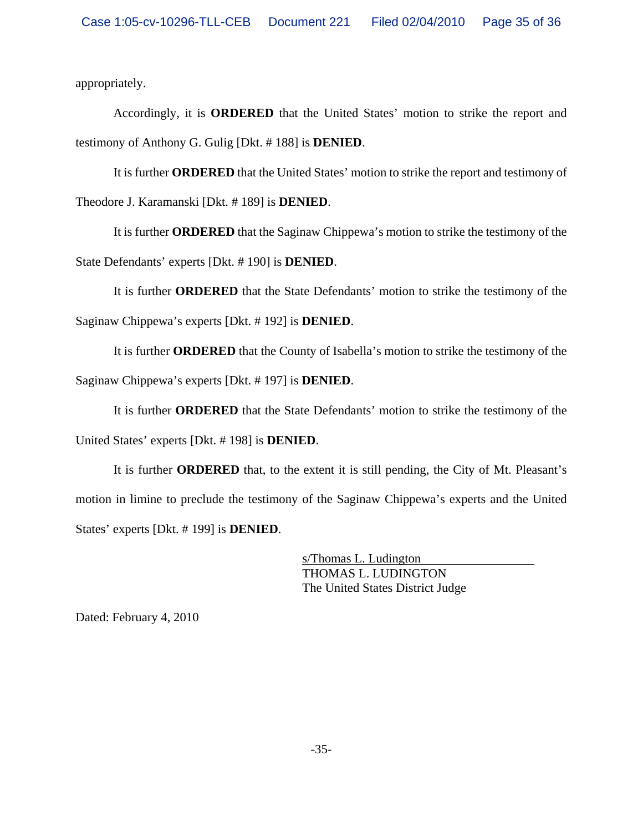appropriately.

Accordingly, it is **ORDERED** that the United States' motion to strike the report and testimony of Anthony G. Gulig [Dkt. # 188] is **DENIED**.

It is further **ORDERED** that the United States' motion to strike the report and testimony of Theodore J. Karamanski [Dkt. # 189] is **DENIED**.

It is further **ORDERED** that the Saginaw Chippewa's motion to strike the testimony of the State Defendants' experts [Dkt. # 190] is **DENIED**.

It is further **ORDERED** that the State Defendants' motion to strike the testimony of the Saginaw Chippewa's experts [Dkt. # 192] is **DENIED**.

It is further **ORDERED** that the County of Isabella's motion to strike the testimony of the Saginaw Chippewa's experts [Dkt. # 197] is **DENIED**.

It is further **ORDERED** that the State Defendants' motion to strike the testimony of the United States' experts [Dkt. # 198] is **DENIED**.

It is further **ORDERED** that, to the extent it is still pending, the City of Mt. Pleasant's motion in limine to preclude the testimony of the Saginaw Chippewa's experts and the United States' experts [Dkt. # 199] is **DENIED**.

> s/Thomas L. Ludington THOMAS L. LUDINGTON The United States District Judge

Dated: February 4, 2010